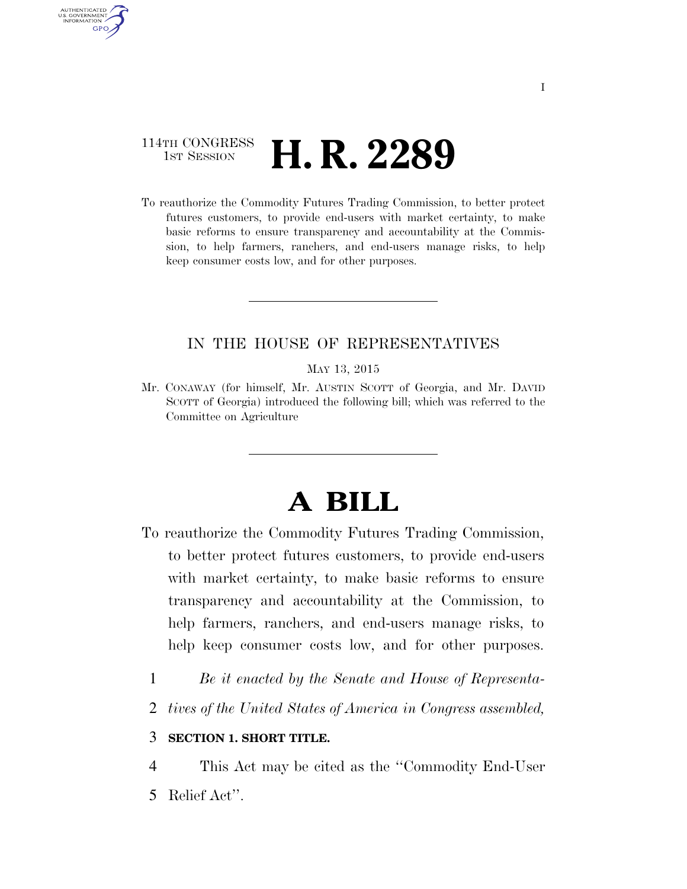#### 114TH CONGRESS 1st Session **H. R. 2289**

AUTHENTICATED U.S. GOVERNMENT **GPO** 

> To reauthorize the Commodity Futures Trading Commission, to better protect futures customers, to provide end-users with market certainty, to make basic reforms to ensure transparency and accountability at the Commission, to help farmers, ranchers, and end-users manage risks, to help keep consumer costs low, and for other purposes.

#### IN THE HOUSE OF REPRESENTATIVES

MAY 13, 2015

Mr. CONAWAY (for himself, Mr. AUSTIN SCOTT of Georgia, and Mr. DAVID SCOTT of Georgia) introduced the following bill; which was referred to the Committee on Agriculture

## **A BILL**

- To reauthorize the Commodity Futures Trading Commission, to better protect futures customers, to provide end-users with market certainty, to make basic reforms to ensure transparency and accountability at the Commission, to help farmers, ranchers, and end-users manage risks, to help keep consumer costs low, and for other purposes.
	- 1 *Be it enacted by the Senate and House of Representa-*
	- 2 *tives of the United States of America in Congress assembled,*

#### 3 **SECTION 1. SHORT TITLE.**

4 This Act may be cited as the ''Commodity End-User

5 Relief Act''.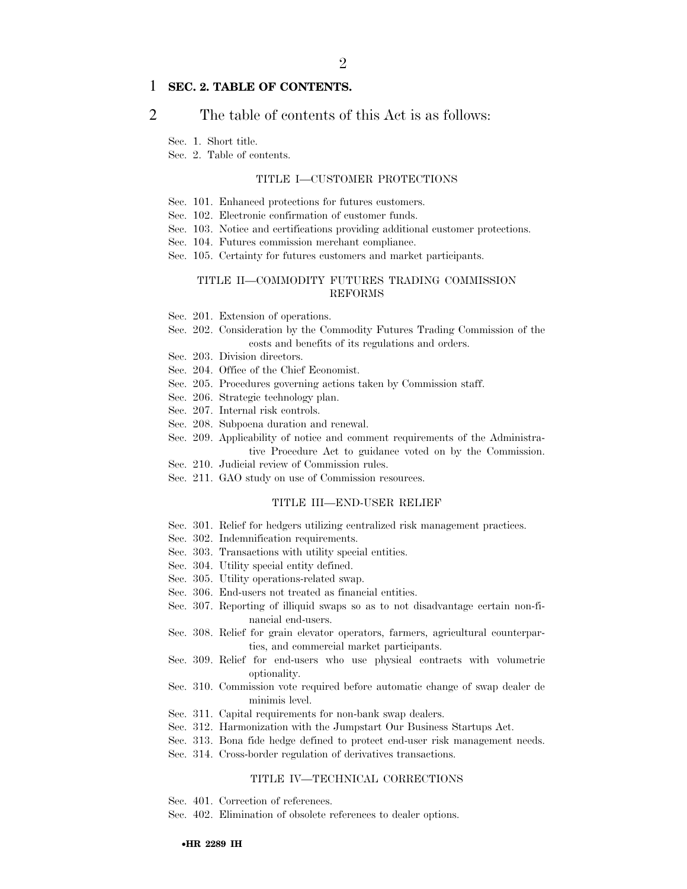#### 1 **SEC. 2. TABLE OF CONTENTS.**

#### 2 The table of contents of this Act is as follows:

Sec. 1. Short title.

Sec. 2. Table of contents.

#### TITLE I—CUSTOMER PROTECTIONS

- Sec. 101. Enhanced protections for futures customers.
- Sec. 102. Electronic confirmation of customer funds.
- Sec. 103. Notice and certifications providing additional customer protections.
- Sec. 104. Futures commission merchant compliance.
- Sec. 105. Certainty for futures customers and market participants.

#### TITLE II—COMMODITY FUTURES TRADING COMMISSION REFORMS

- Sec. 201. Extension of operations.
- Sec. 202. Consideration by the Commodity Futures Trading Commission of the costs and benefits of its regulations and orders.
- Sec. 203. Division directors.
- Sec. 204. Office of the Chief Economist.
- Sec. 205. Procedures governing actions taken by Commission staff.
- Sec. 206. Strategic technology plan.
- Sec. 207. Internal risk controls.
- Sec. 208. Subpoena duration and renewal.
- Sec. 209. Applicability of notice and comment requirements of the Administrative Procedure Act to guidance voted on by the Commission.
- Sec. 210. Judicial review of Commission rules.
- Sec. 211. GAO study on use of Commission resources.

#### TITLE III—END-USER RELIEF

- Sec. 301. Relief for hedgers utilizing centralized risk management practices.
- Sec. 302. Indemnification requirements.
- Sec. 303. Transactions with utility special entities.
- Sec. 304. Utility special entity defined.
- Sec. 305. Utility operations-related swap.
- Sec. 306. End-users not treated as financial entities.
- Sec. 307. Reporting of illiquid swaps so as to not disadvantage certain non-financial end-users.
- Sec. 308. Relief for grain elevator operators, farmers, agricultural counterparties, and commercial market participants.
- Sec. 309. Relief for end-users who use physical contracts with volumetric optionality.
- Sec. 310. Commission vote required before automatic change of swap dealer de minimis level.
- Sec. 311. Capital requirements for non-bank swap dealers.
- Sec. 312. Harmonization with the Jumpstart Our Business Startups Act.
- Sec. 313. Bona fide hedge defined to protect end-user risk management needs.
- Sec. 314. Cross-border regulation of derivatives transactions.

#### TITLE IV—TECHNICAL CORRECTIONS

- Sec. 401. Correction of references.
- Sec. 402. Elimination of obsolete references to dealer options.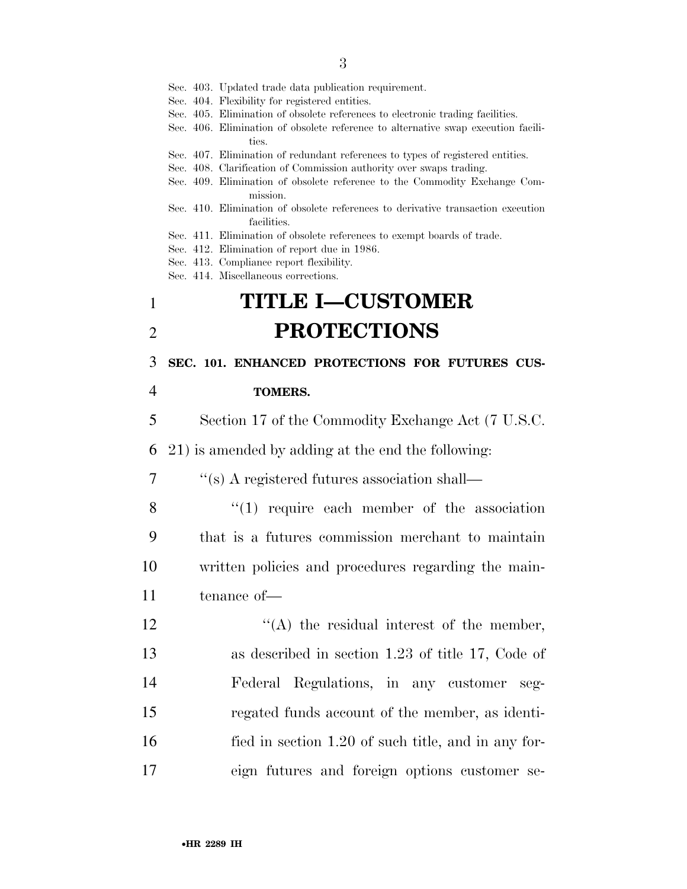Sec. 403. Updated trade data publication requirement.

- Sec. 404. Flexibility for registered entities.
- Sec. 405. Elimination of obsolete references to electronic trading facilities.
- Sec. 406. Elimination of obsolete reference to alternative swap execution facilities.
- Sec. 407. Elimination of redundant references to types of registered entities.
- Sec. 408. Clarification of Commission authority over swaps trading.
- Sec. 409. Elimination of obsolete reference to the Commodity Exchange Commission.
- Sec. 410. Elimination of obsolete references to derivative transaction execution facilities.
- Sec. 411. Elimination of obsolete references to exempt boards of trade.
- Sec. 412. Elimination of report due in 1986.
- Sec. 413. Compliance report flexibility.
- Sec. 414. Miscellaneous corrections.

## 1 **TITLE I—CUSTOMER**  2 **PROTECTIONS**

3 **SEC. 101. ENHANCED PROTECTIONS FOR FUTURES CUS-**

#### 4 **TOMERS.**

5 Section 17 of the Commodity Exchange Act (7 U.S.C.

6 21) is amended by adding at the end the following:

- 7 ''(s) A registered futures association shall—
- 8 "(1) require each member of the association 9 that is a futures commission merchant to maintain 10 written policies and procedures regarding the main-11 tenance of—
- 12 ''(A) the residual interest of the member, 13 as described in section 1.23 of title 17, Code of 14 Federal Regulations, in any customer seg-15 regated funds account of the member, as identi-16 fied in section 1.20 of such title, and in any for-17 eign futures and foreign options customer se-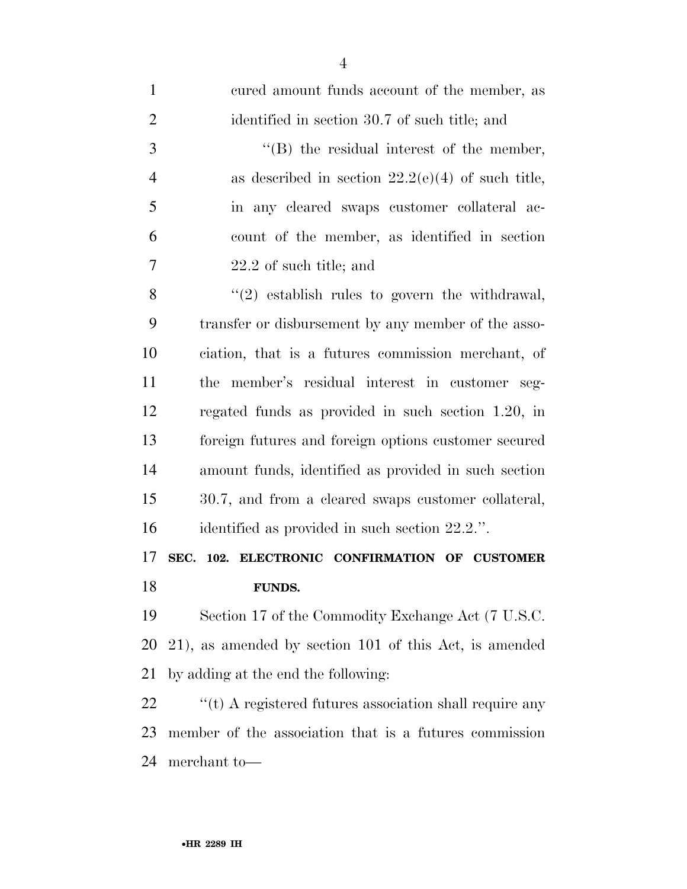| $\mathbf{1}$   | cured amount funds account of the member, as                |
|----------------|-------------------------------------------------------------|
| $\overline{2}$ | identified in section 30.7 of such title; and               |
| 3              | $\lq\lq$ the residual interest of the member,               |
| $\overline{4}$ | as described in section $22.2(e)(4)$ of such title,         |
| 5              | in any cleared swaps customer collateral ac-                |
| 6              | count of the member, as identified in section               |
| 7              | 22.2 of such title; and                                     |
| 8              | $\lq(2)$ establish rules to govern the withdrawal,          |
| 9              | transfer or disbursement by any member of the asso-         |
| 10             | ciation, that is a futures commission merchant, of          |
| 11             | the member's residual interest in customer seg-             |
| 12             | regated funds as provided in such section 1.20, in          |
| 13             | foreign futures and foreign options customer secured        |
| 14             | amount funds, identified as provided in such section        |
| 15             | 30.7, and from a cleared swaps customer collateral,         |
| 16             | identified as provided in such section 22.2.".              |
| 17             | SEC. 102. ELECTRONIC CONFIRMATION OF CUSTOMER               |
| 18             | FUNDS.                                                      |
| 19             | Section 17 of the Commodity Exchange Act (7 U.S.C.          |
| 20             | 21), as amended by section 101 of this Act, is amended      |
| 21             | by adding at the end the following:                         |
| 22             | $``$ (t) A registered futures association shall require any |
| 23             | member of the association that is a futures commission      |
| 24             | merchant to-                                                |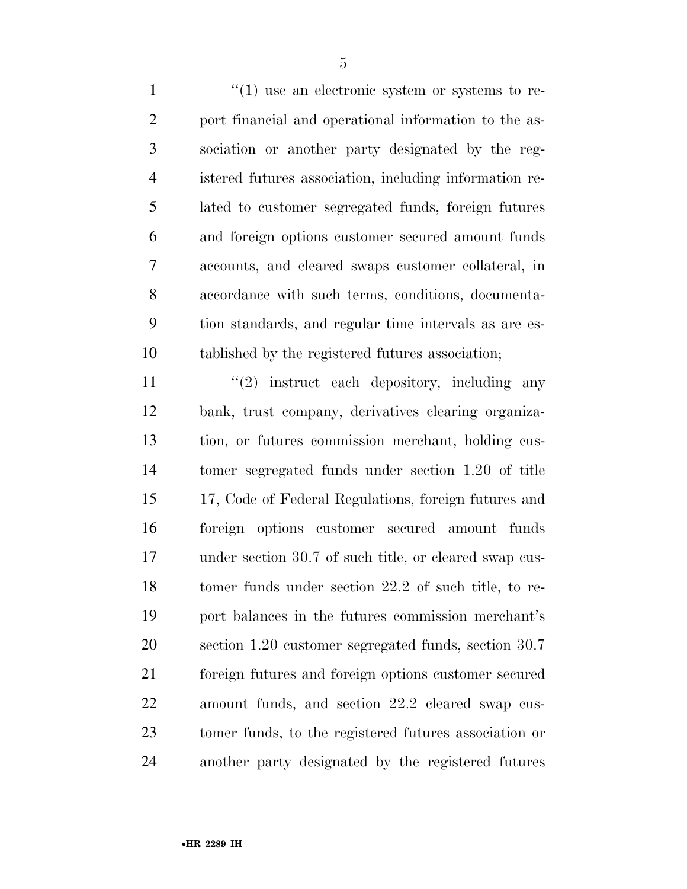$\frac{1}{1}$  is an electronic system or systems to re- port financial and operational information to the as- sociation or another party designated by the reg- istered futures association, including information re- lated to customer segregated funds, foreign futures and foreign options customer secured amount funds accounts, and cleared swaps customer collateral, in accordance with such terms, conditions, documenta- tion standards, and regular time intervals as are es-tablished by the registered futures association;

11 ''(2) instruct each depository, including any bank, trust company, derivatives clearing organiza- tion, or futures commission merchant, holding cus- tomer segregated funds under section 1.20 of title 17, Code of Federal Regulations, foreign futures and foreign options customer secured amount funds under section 30.7 of such title, or cleared swap cus- tomer funds under section 22.2 of such title, to re- port balances in the futures commission merchant's section 1.20 customer segregated funds, section 30.7 foreign futures and foreign options customer secured amount funds, and section 22.2 cleared swap cus- tomer funds, to the registered futures association or another party designated by the registered futures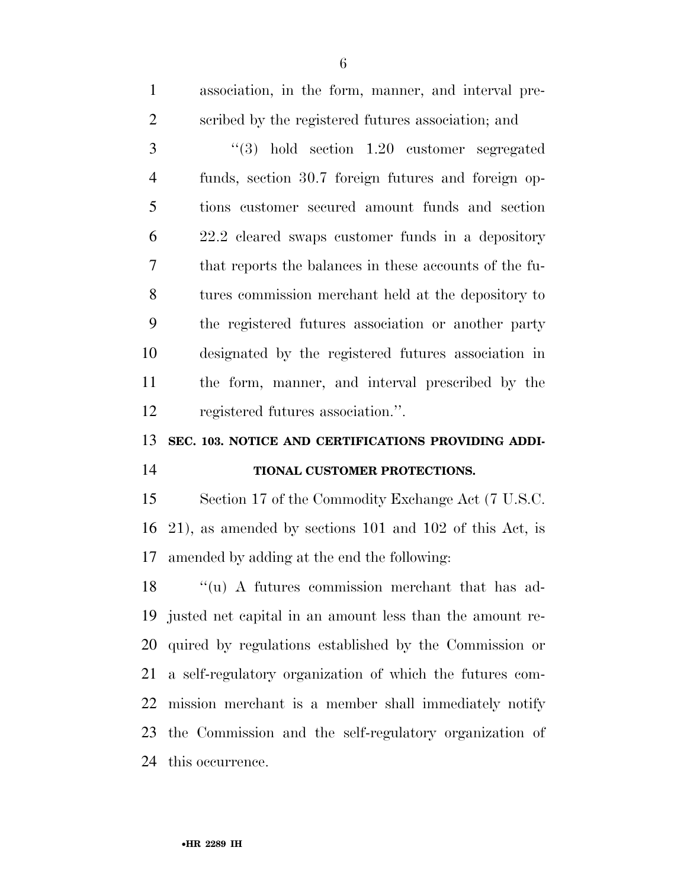| $\mathbf{1}$   | association, in the form, manner, and interval pre-         |
|----------------|-------------------------------------------------------------|
| $\overline{2}$ | scribed by the registered futures association; and          |
| 3              | $(3)$ hold section 1.20 customer segregated                 |
| $\overline{4}$ | funds, section 30.7 foreign futures and foreign op-         |
| 5              | tions customer secured amount funds and section             |
| 6              | 22.2 cleared swaps customer funds in a depository           |
| 7              | that reports the balances in these accounts of the fu-      |
| 8              | tures commission merchant held at the depository to         |
| 9              | the registered futures association or another party         |
| 10             | designated by the registered futures association in         |
| 11             | the form, manner, and interval prescribed by the            |
| 12             | registered futures association.".                           |
|                |                                                             |
|                | SEC. 103. NOTICE AND CERTIFICATIONS PROVIDING ADDI-         |
|                | TIONAL CUSTOMER PROTECTIONS.                                |
| 13<br>14<br>15 | Section 17 of the Commodity Exchange Act (7 U.S.C.          |
| 16             | $(21)$ , as amended by sections 101 and 102 of this Act, is |
| 17             | amended by adding at the end the following:                 |
| 18             | "(u) A futures commission merchant that has ad-             |
| 19             | justed net capital in an amount less than the amount re-    |
| 20             | quired by regulations established by the Commission or      |
| 21             | a self-regulatory organization of which the futures com-    |
| 22             | mission merchant is a member shall immediately notify       |
| 23             | the Commission and the self-regulatory organization of      |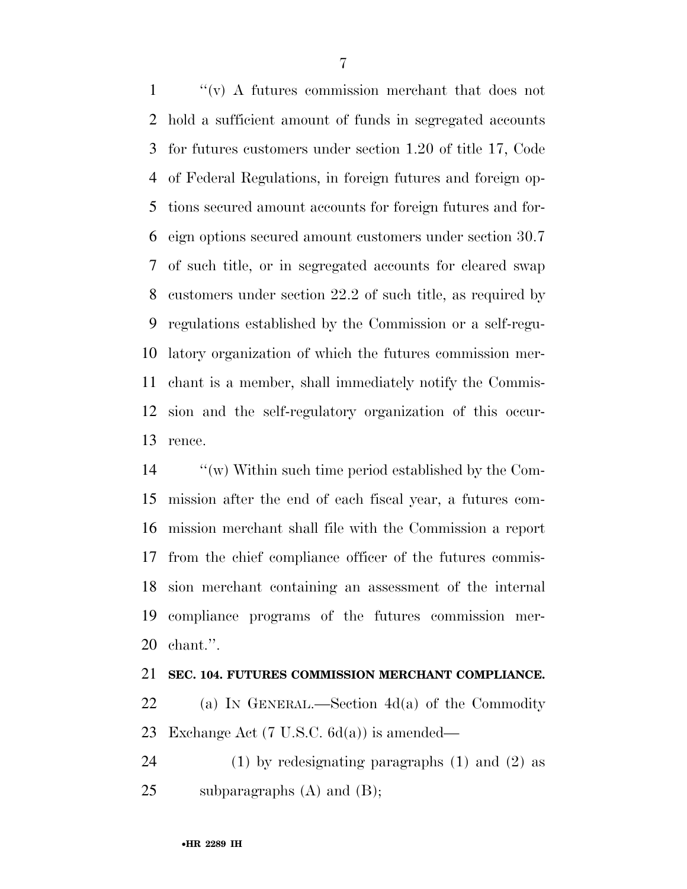''(v) A futures commission merchant that does not hold a sufficient amount of funds in segregated accounts for futures customers under section 1.20 of title 17, Code of Federal Regulations, in foreign futures and foreign op- tions secured amount accounts for foreign futures and for- eign options secured amount customers under section 30.7 of such title, or in segregated accounts for cleared swap customers under section 22.2 of such title, as required by regulations established by the Commission or a self-regu- latory organization of which the futures commission mer- chant is a member, shall immediately notify the Commis- sion and the self-regulatory organization of this occur-rence.

 ''(w) Within such time period established by the Com- mission after the end of each fiscal year, a futures com- mission merchant shall file with the Commission a report from the chief compliance officer of the futures commis- sion merchant containing an assessment of the internal compliance programs of the futures commission mer-chant.''.

#### **SEC. 104. FUTURES COMMISSION MERCHANT COMPLIANCE.**

 (a) IN GENERAL.—Section 4d(a) of the Commodity Exchange Act (7 U.S.C. 6d(a)) is amended—

 (1) by redesignating paragraphs (1) and (2) as 25 subparagraphs  $(A)$  and  $(B)$ ;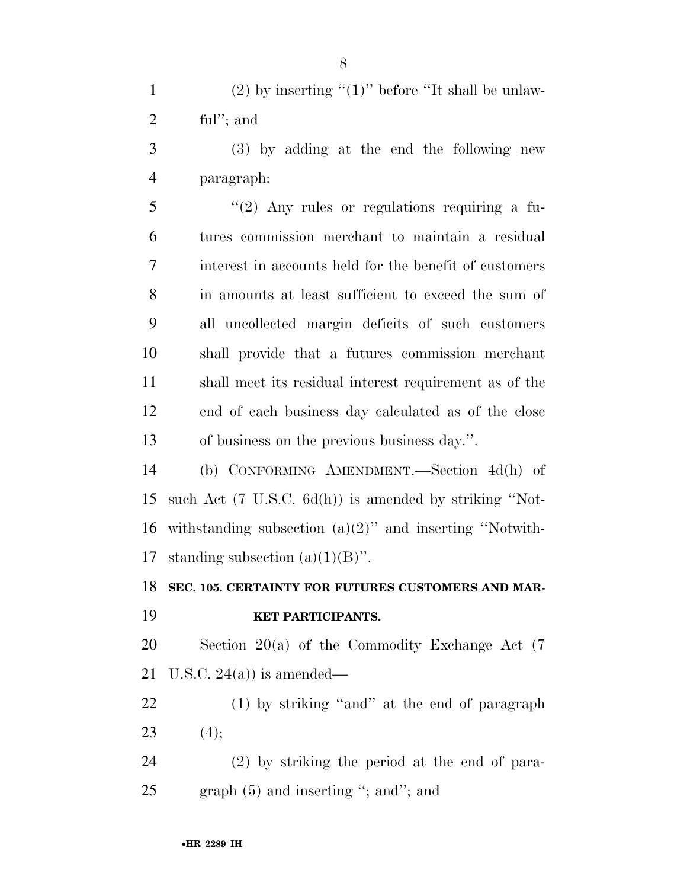1 (2) by inserting " $(1)$ " before "It shall be unlaw-ful''; and

 (3) by adding at the end the following new paragraph:

 ''(2) Any rules or regulations requiring a fu- tures commission merchant to maintain a residual interest in accounts held for the benefit of customers in amounts at least sufficient to exceed the sum of all uncollected margin deficits of such customers shall provide that a futures commission merchant shall meet its residual interest requirement as of the end of each business day calculated as of the close of business on the previous business day.''.

 (b) CONFORMING AMENDMENT.—Section 4d(h) of such Act (7 U.S.C. 6d(h)) is amended by striking ''Not-16 withstanding subsection  $(a)(2)$ " and inserting "Notwith-17 standing subsection  $(a)(1)(B)$ ".

**SEC. 105. CERTAINTY FOR FUTURES CUSTOMERS AND MAR-**

#### **KET PARTICIPANTS.**

 Section 20(a) of the Commodity Exchange Act (7 21 U.S.C. 24(a)) is amended—

 (1) by striking ''and'' at the end of paragraph 23 (4);

 (2) by striking the period at the end of para-25 graph (5) and inserting "; and"; and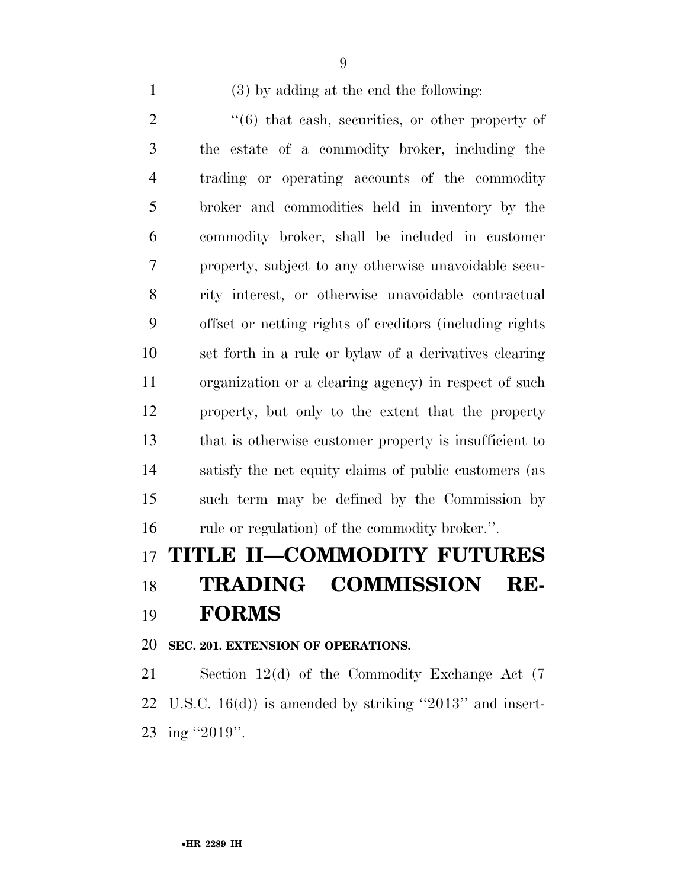(3) by adding at the end the following:

 ''(6) that cash, securities, or other property of the estate of a commodity broker, including the trading or operating accounts of the commodity broker and commodities held in inventory by the commodity broker, shall be included in customer property, subject to any otherwise unavoidable secu- rity interest, or otherwise unavoidable contractual offset or netting rights of creditors (including rights set forth in a rule or bylaw of a derivatives clearing organization or a clearing agency) in respect of such property, but only to the extent that the property that is otherwise customer property is insufficient to satisfy the net equity claims of public customers (as such term may be defined by the Commission by 16 rule or regulation) of the commodity broker.".

## **TITLE II—COMMODITY FUTURES TRADING COMMISSION RE-FORMS**

#### **SEC. 201. EXTENSION OF OPERATIONS.**

 Section 12(d) of the Commodity Exchange Act (7 U.S.C. 16(d)) is amended by striking ''2013'' and insert-ing ''2019''.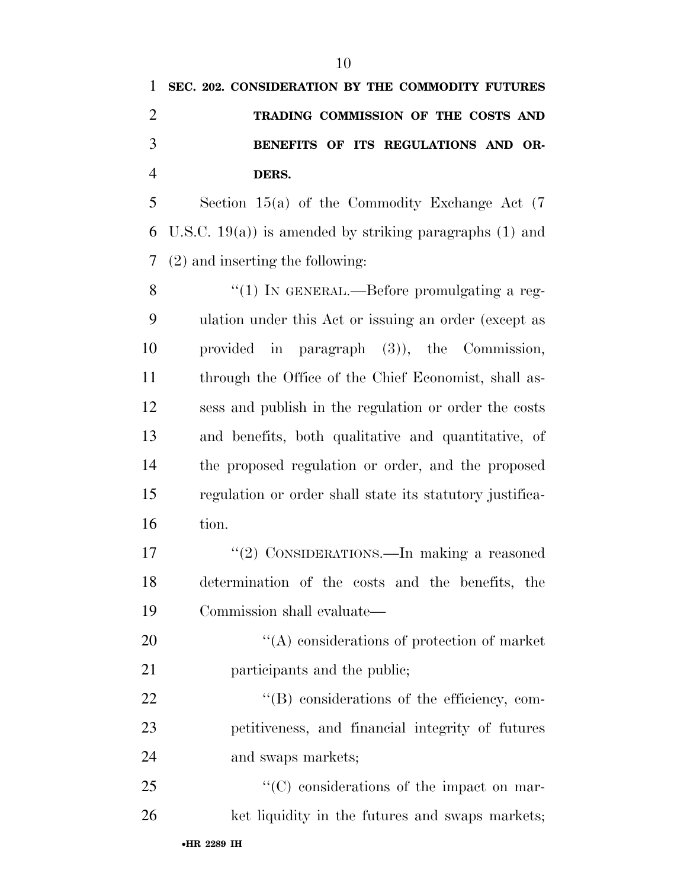| 1              | SEC. 202. CONSIDERATION BY THE COMMODITY FUTURES           |
|----------------|------------------------------------------------------------|
| $\overline{2}$ | TRADING COMMISSION OF THE COSTS AND                        |
| 3              | BENEFITS OF ITS REGULATIONS AND OR-                        |
| $\overline{4}$ | DERS.                                                      |
| 5              | Section $15(a)$ of the Commodity Exchange Act $(7)$        |
| 6              | U.S.C. $19(a)$ ) is amended by striking paragraphs (1) and |
| 7              | $(2)$ and inserting the following:                         |
| 8              | "(1) IN GENERAL.—Before promulgating a reg-                |
| 9              | ulation under this Act or issuing an order (except as      |
| 10             | provided in paragraph $(3)$ , the Commission,              |
| 11             | through the Office of the Chief Economist, shall as-       |
| 12             | sess and publish in the regulation or order the costs      |
| 13             | and benefits, both qualitative and quantitative, of        |
| 14             | the proposed regulation or order, and the proposed         |
| 15             | regulation or order shall state its statutory justifica-   |
| 16             | tion.                                                      |
| 17             | "(2) CONSIDERATIONS.—In making a reasoned                  |
| 18             | determination of the costs and the benefits, the           |
| 19             | Commission shall evaluate—                                 |
| 20             | $\lq\lq$ considerations of protection of market            |
| 21             | participants and the public;                               |
| $\sim$ $\sim$  |                                                            |

22  $\text{``(B)}$  considerations of the efficiency, com- petitiveness, and financial integrity of futures and swaps markets;

25  $\lq\lq$  (C) considerations of the impact on mar-26 ket liquidity in the futures and swaps markets;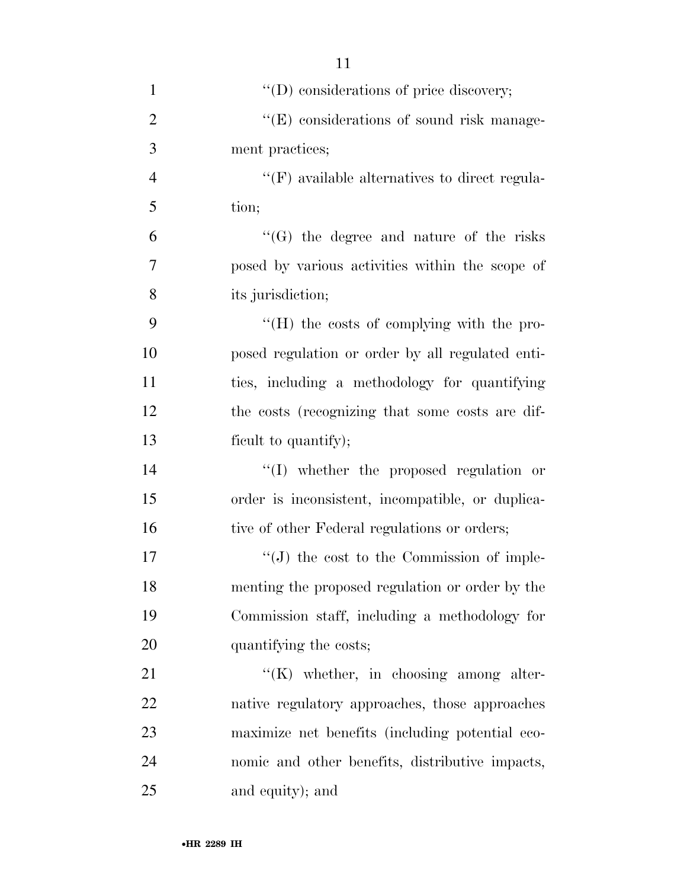| $\mathbf{1}$   | $\lq\lq$ (D) considerations of price discovery;      |
|----------------|------------------------------------------------------|
| $\overline{2}$ | "(E) considerations of sound risk manage-            |
| 3              | ment practices;                                      |
| $\overline{4}$ | $\lq\lq(F)$ available alternatives to direct regula- |
| 5              | tion;                                                |
| 6              | $\lq\lq(G)$ the degree and nature of the risks       |
| 7              | posed by various activities within the scope of      |
| 8              | its jurisdiction;                                    |
| 9              | "(H) the costs of complying with the pro-            |
| 10             | posed regulation or order by all regulated enti-     |
| 11             | ties, including a methodology for quantifying        |
| 12             | the costs (recognizing that some costs are dif-      |
| 13             | ficult to quantify);                                 |
| 14             | "(I) whether the proposed regulation or              |
| 15             | order is inconsistent, incompatible, or duplica-     |
| 16             | tive of other Federal regulations or orders;         |
| 17             | $\lq\lq (J)$ the cost to the Commission of imple-    |
| 18             | menting the proposed regulation or order by the      |
| 19             | Commission staff, including a methodology for        |
| 20             | quantifying the costs;                               |
| 21             | $\lq\lq$ (K) whether, in choosing among alter-       |
| 22             | native regulatory approaches, those approaches       |
| 23             | maximize net benefits (including potential eco-      |
| 24             | nomic and other benefits, distributive impacts,      |
| 25             | and equity); and                                     |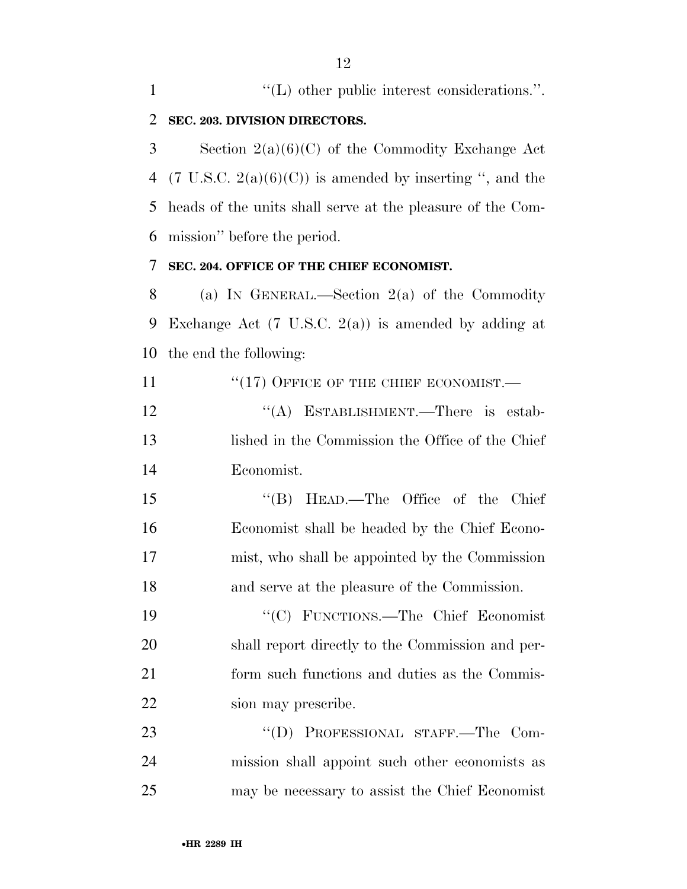$\langle (L) \rangle$  other public interest considerations.". **SEC. 203. DIVISION DIRECTORS.**  Section 2(a)(6)(C) of the Commodity Exchange Act 4 (7 U.S.C.  $2(a)(6)(C)$ ) is amended by inserting ", and the heads of the units shall serve at the pleasure of the Com- mission'' before the period. **SEC. 204. OFFICE OF THE CHIEF ECONOMIST.**  (a) IN GENERAL.—Section 2(a) of the Commodity Exchange Act (7 U.S.C. 2(a)) is amended by adding at the end the following: 11 "(17) OFFICE OF THE CHIEF ECONOMIST.— 12 "(A) ESTABLISHMENT.—There is estab- lished in the Commission the Office of the Chief Economist. 15 "'(B) HEAD.—The Office of the Chief Economist shall be headed by the Chief Econo- mist, who shall be appointed by the Commission and serve at the pleasure of the Commission. ''(C) FUNCTIONS.—The Chief Economist shall report directly to the Commission and per- form such functions and duties as the Commis- sion may prescribe. 23 "'(D) PROFESSIONAL STAFF.—The Com- mission shall appoint such other economists as may be necessary to assist the Chief Economist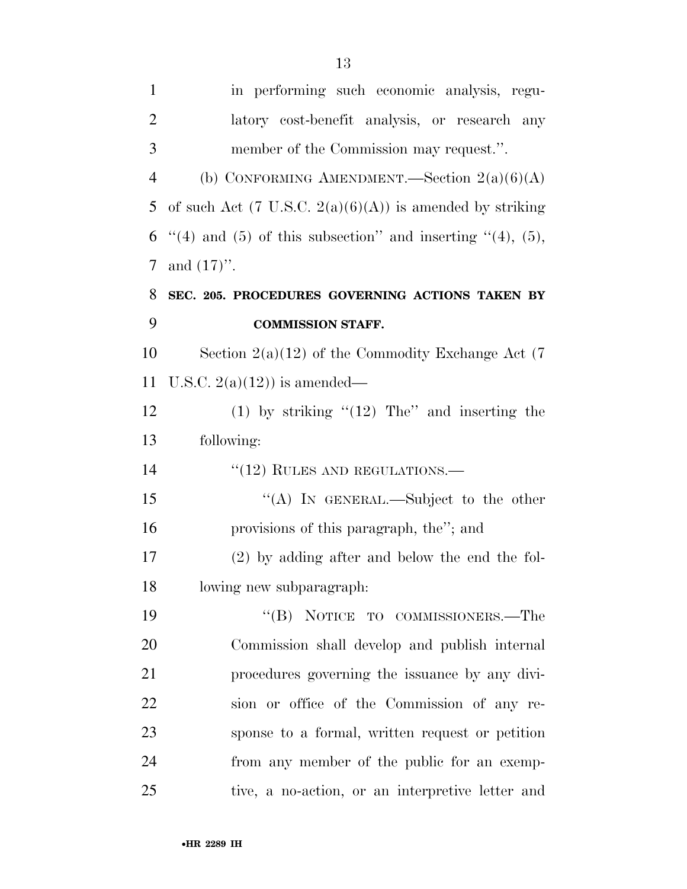| $\mathbf{1}$   | in performing such economic analysis, regu-                         |
|----------------|---------------------------------------------------------------------|
| $\overline{2}$ | latory cost-benefit analysis, or research any                       |
| 3              | member of the Commission may request.".                             |
| $\overline{4}$ | (b) CONFORMING AMENDMENT.—Section $2(a)(6)(A)$                      |
| 5              | of such Act $(7 \text{ U.S.C. } 2(a)(6)(A))$ is amended by striking |
| 6              | "(4) and (5) of this subsection" and inserting "(4), (5),           |
| 7              | and $(17)$ ".                                                       |
| 8              | SEC. 205. PROCEDURES GOVERNING ACTIONS TAKEN BY                     |
| 9              | <b>COMMISSION STAFF.</b>                                            |
| 10             | Section $2(a)(12)$ of the Commodity Exchange Act (7)                |
| 11             | U.S.C. $2(a)(12)$ is amended—                                       |
| 12             | (1) by striking " $(12)$ The" and inserting the                     |
| 13             | following:                                                          |
| 14             | $"(12)$ RULES AND REGULATIONS.—                                     |
| 15             | "(A) IN GENERAL.—Subject to the other                               |
| 16             | provisions of this paragraph, the"; and                             |
| 17             | (2) by adding after and below the end the fol-                      |
| 18             | lowing new subparagraph:                                            |
| 19             | "(B) NOTICE TO COMMISSIONERS.—The                                   |
| 20             | Commission shall develop and publish internal                       |
| 21             | procedures governing the issuance by any divi-                      |
| 22             | sion or office of the Commission of any re-                         |
| 23             | sponse to a formal, written request or petition                     |
| 24             | from any member of the public for an exemp-                         |
| 25             | tive, a no-action, or an interpretive letter and                    |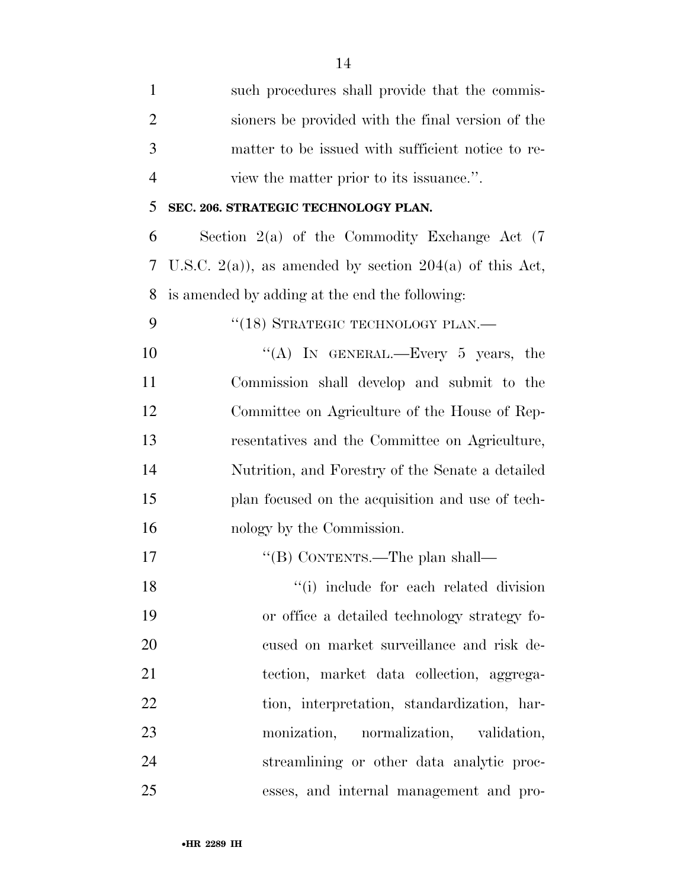| $\mathbf{1}$   | such procedures shall provide that the commis-          |
|----------------|---------------------------------------------------------|
| $\overline{2}$ | sioners be provided with the final version of the       |
| 3              | matter to be issued with sufficient notice to re-       |
| $\overline{4}$ | view the matter prior to its issuance.".                |
| 5              | SEC. 206. STRATEGIC TECHNOLOGY PLAN.                    |
| 6              | Section $2(a)$ of the Commodity Exchange Act $(7)$      |
| 7              | U.S.C. 2(a)), as amended by section 204(a) of this Act, |
| 8              | is amended by adding at the end the following:          |
| 9              | "(18) STRATEGIC TECHNOLOGY PLAN.—                       |
| 10             | "(A) IN GENERAL.—Every 5 years, the                     |
| 11             | Commission shall develop and submit to the              |
| 12             | Committee on Agriculture of the House of Rep-           |
| 13             | resentatives and the Committee on Agriculture,          |
| 14             | Nutrition, and Forestry of the Senate a detailed        |
| 15             | plan focused on the acquisition and use of tech-        |
| 16             | nology by the Commission.                               |
| 17             | "(B) CONTENTS.—The plan shall—                          |
| 18             | "(i) include for each related division                  |
| 19             | or office a detailed technology strategy fo-            |
| 20             | cused on market surveillance and risk de-               |
| 21             | tection, market data collection, aggrega-               |
| 22             | tion, interpretation, standardization, har-             |
| 23             | monization, normalization, validation,                  |
| 24             | streamlining or other data analytic proc-               |
| 25             | esses, and internal management and pro-                 |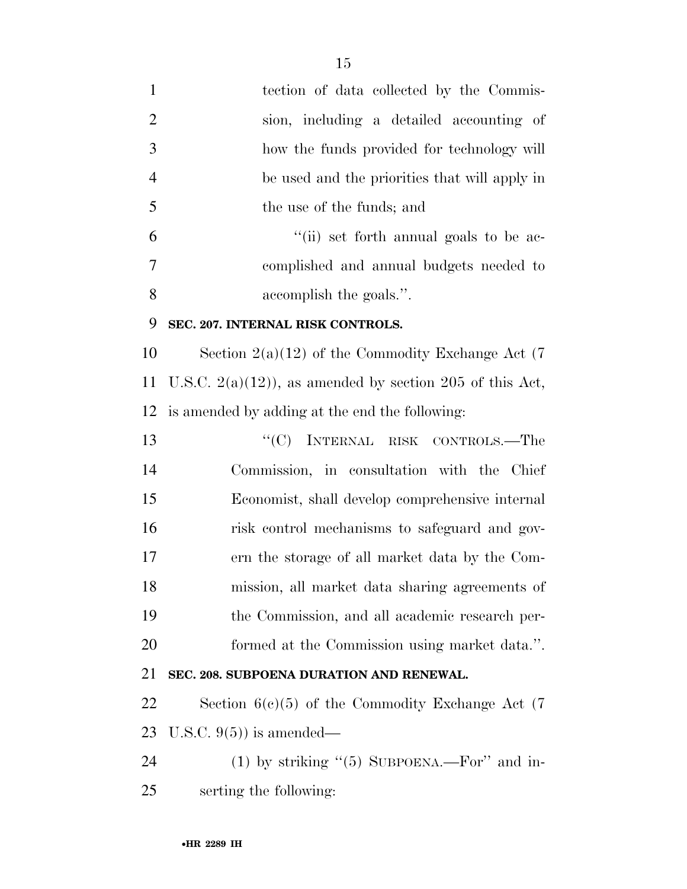tection of data collected by the Commis- sion, including a detailed accounting of how the funds provided for technology will be used and the priorities that will apply in the use of the funds; and ''(ii) set forth annual goals to be ac- complished and annual budgets needed to accomplish the goals.''. **SEC. 207. INTERNAL RISK CONTROLS.**  Section 2(a)(12) of the Commodity Exchange Act (7 11 U.S.C.  $2(a)(12)$ , as amended by section 205 of this Act, is amended by adding at the end the following: 13 "'(C) INTERNAL RISK CONTROLS.—The Commission, in consultation with the Chief Economist, shall develop comprehensive internal risk control mechanisms to safeguard and gov- ern the storage of all market data by the Com- mission, all market data sharing agreements of the Commission, and all academic research per- formed at the Commission using market data.''. **SEC. 208. SUBPOENA DURATION AND RENEWAL.** 

 Section 6(c)(5) of the Commodity Exchange Act (7 U.S.C. 9(5)) is amended—

24 (1) by striking "(5) SUBPOENA.—For" and in-serting the following: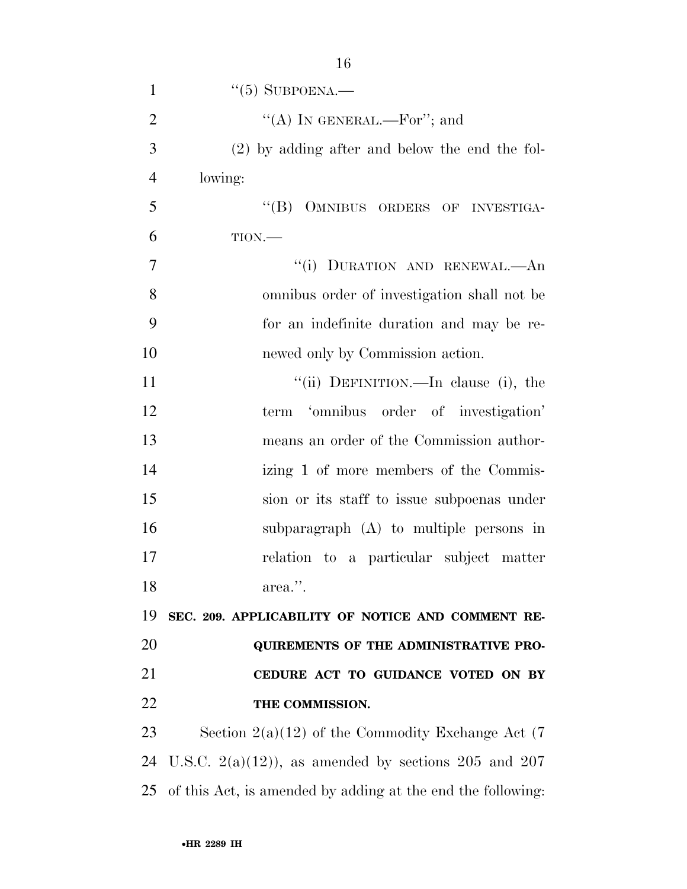| $\mathbf{1}$   | $\cdot\cdot$ (5) SUBPOENA.—                                 |
|----------------|-------------------------------------------------------------|
| $\overline{2}$ | "(A) IN GENERAL.—For"; and                                  |
| 3              | $(2)$ by adding after and below the end the fol-            |
| $\overline{4}$ | lowing:                                                     |
| 5              | "(B) OMNIBUS ORDERS OF INVESTIGA-                           |
| 6              | TION.                                                       |
| 7              | "(i) DURATION AND RENEWAL.-An                               |
| 8              | omnibus order of investigation shall not be                 |
| 9              | for an indefinite duration and may be re-                   |
| 10             | newed only by Commission action.                            |
| 11             | "(ii) DEFINITION.—In clause (i), the                        |
| 12             | term 'omnibus order of investigation'                       |
| 13             | means an order of the Commission author-                    |
| 14             | izing 1 of more members of the Commis-                      |
| 15             | sion or its staff to issue subpoenas under                  |
| 16             | subparagraph (A) to multiple persons in                     |
| 17             | relation to a particular subject matter                     |
| 18             | area.".                                                     |
| 19             | SEC. 209. APPLICABILITY OF NOTICE AND COMMENT RE-           |
| 20             | QUIREMENTS OF THE ADMINISTRATIVE PRO-                       |
| 21             | CEDURE ACT TO GUIDANCE VOTED ON BY                          |
| 22             | THE COMMISSION.                                             |
| 23             | Section $2(a)(12)$ of the Commodity Exchange Act (7)        |
| 24             | U.S.C. $2(a)(12)$ , as amended by sections 205 and 207      |
| 25             | of this Act, is amended by adding at the end the following: |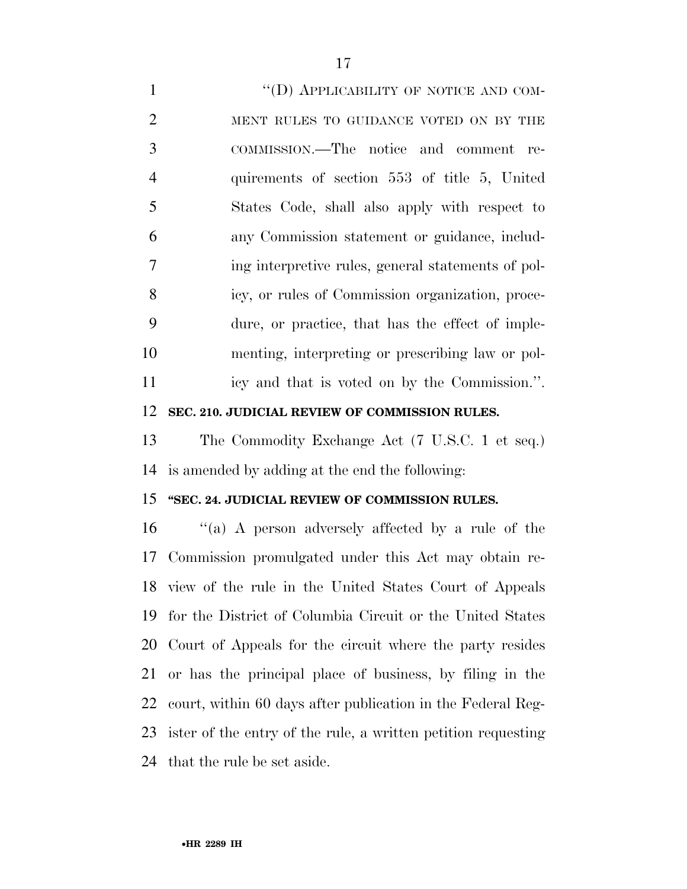1 "(D) APPLICABILITY OF NOTICE AND COM- MENT RULES TO GUIDANCE VOTED ON BY THE COMMISSION.—The notice and comment re- quirements of section 553 of title 5, United States Code, shall also apply with respect to any Commission statement or guidance, includ- ing interpretive rules, general statements of pol- icy, or rules of Commission organization, proce- dure, or practice, that has the effect of imple- menting, interpreting or prescribing law or pol- icy and that is voted on by the Commission.''. **SEC. 210. JUDICIAL REVIEW OF COMMISSION RULES.**  The Commodity Exchange Act (7 U.S.C. 1 et seq.) is amended by adding at the end the following: **''SEC. 24. JUDICIAL REVIEW OF COMMISSION RULES.**  ''(a) A person adversely affected by a rule of the Commission promulgated under this Act may obtain re- view of the rule in the United States Court of Appeals for the District of Columbia Circuit or the United States Court of Appeals for the circuit where the party resides or has the principal place of business, by filing in the court, within 60 days after publication in the Federal Reg- ister of the entry of the rule, a written petition requesting that the rule be set aside.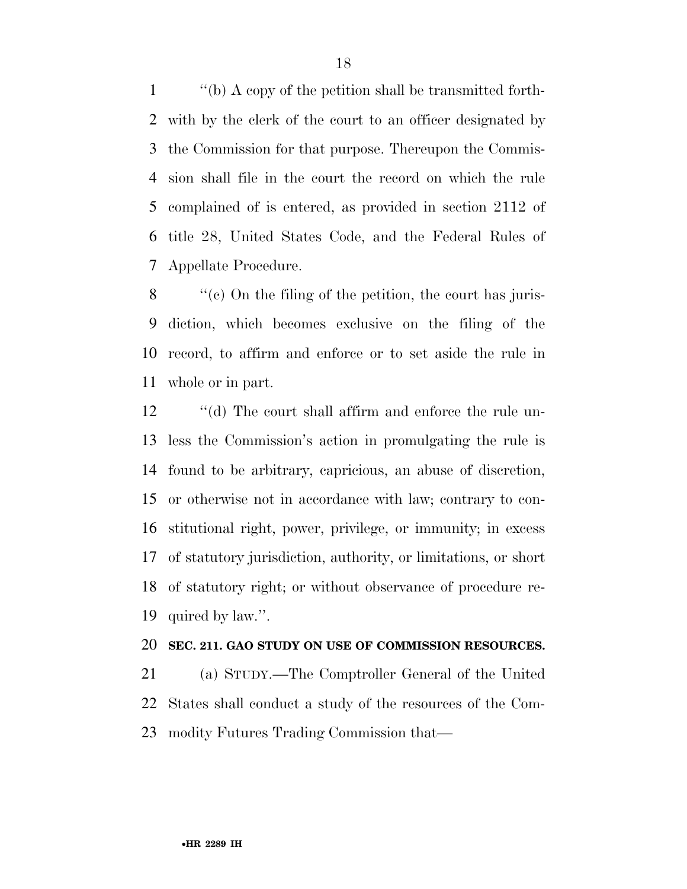''(b) A copy of the petition shall be transmitted forth- with by the clerk of the court to an officer designated by the Commission for that purpose. Thereupon the Commis- sion shall file in the court the record on which the rule complained of is entered, as provided in section 2112 of title 28, United States Code, and the Federal Rules of Appellate Procedure.

 $\frac{8}{2}$  (c) On the filing of the petition, the court has juris- diction, which becomes exclusive on the filing of the record, to affirm and enforce or to set aside the rule in whole or in part.

12 ''(d) The court shall affirm and enforce the rule un- less the Commission's action in promulgating the rule is found to be arbitrary, capricious, an abuse of discretion, or otherwise not in accordance with law; contrary to con- stitutional right, power, privilege, or immunity; in excess of statutory jurisdiction, authority, or limitations, or short of statutory right; or without observance of procedure re-quired by law.''.

#### **SEC. 211. GAO STUDY ON USE OF COMMISSION RESOURCES.**

 (a) STUDY.—The Comptroller General of the United States shall conduct a study of the resources of the Com-modity Futures Trading Commission that—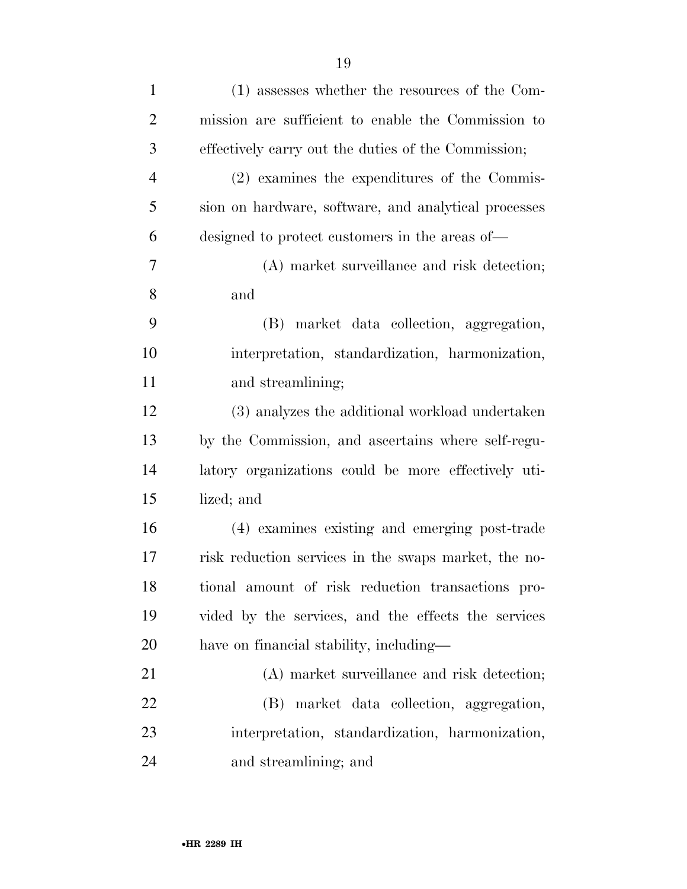| $\mathbf{1}$   | (1) assesses whether the resources of the Com-       |
|----------------|------------------------------------------------------|
| $\overline{2}$ | mission are sufficient to enable the Commission to   |
| 3              | effectively carry out the duties of the Commission;  |
| $\overline{4}$ | (2) examines the expenditures of the Commis-         |
| 5              | sion on hardware, software, and analytical processes |
| 6              | designed to protect customers in the areas of—       |
| 7              | (A) market surveillance and risk detection;          |
| 8              | and                                                  |
| 9              | (B) market data collection, aggregation,             |
| 10             | interpretation, standardization, harmonization,      |
| 11             | and streamlining;                                    |
| 12             | (3) analyzes the additional workload undertaken      |
| 13             | by the Commission, and ascertains where self-regu-   |
| 14             | latory organizations could be more effectively uti-  |
| 15             | lized; and                                           |
| 16             | (4) examines existing and emerging post-trade        |
| 17             | risk reduction services in the swaps market, the no- |
| 18             | tional amount of risk reduction transactions pro-    |
| 19             | vided by the services, and the effects the services  |
| <b>20</b>      | have on financial stability, including—              |
| 21             | (A) market surveillance and risk detection;          |
| 22             | (B) market data collection, aggregation,             |
| 23             | interpretation, standardization, harmonization,      |
| 24             | and streamlining; and                                |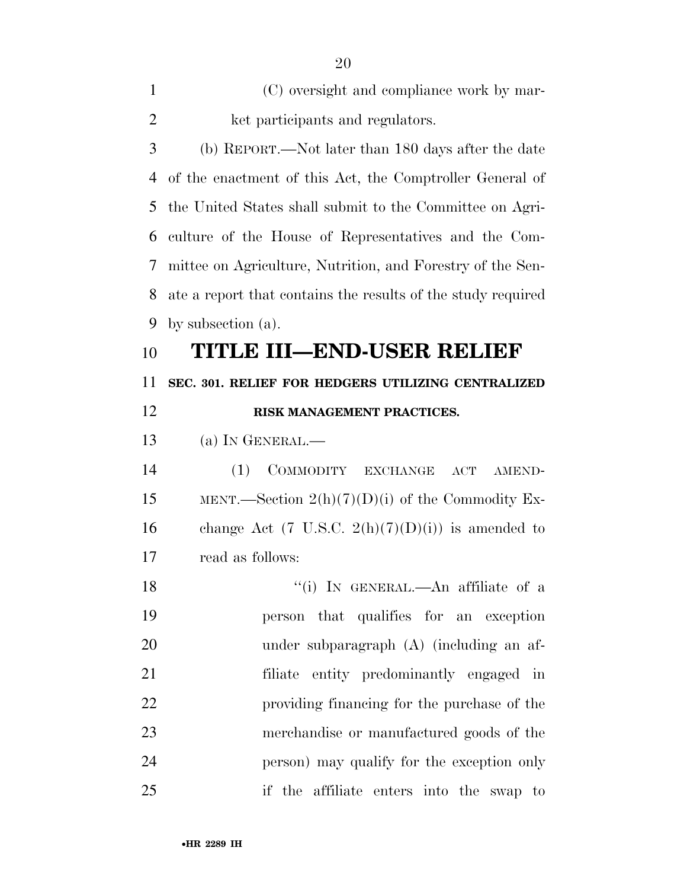| $\mathbf{1}$   | (C) oversight and compliance work by mar-                    |
|----------------|--------------------------------------------------------------|
| $\overline{2}$ | ket participants and regulators.                             |
| 3              | (b) REPORT.—Not later than 180 days after the date           |
| 4              | of the enactment of this Act, the Comptroller General of     |
| 5              | the United States shall submit to the Committee on Agri-     |
| 6              | culture of the House of Representatives and the Com-         |
| 7              | mittee on Agriculture, Nutrition, and Forestry of the Sen-   |
| 8              | ate a report that contains the results of the study required |
| 9              | by subsection $(a)$ .                                        |
| 10             | TITLE III—END-USER RELIEF                                    |
| 11             | SEC. 301. RELIEF FOR HEDGERS UTILIZING CENTRALIZED           |
| 12             | RISK MANAGEMENT PRACTICES.                                   |
| 13             | $(a)$ In GENERAL.—                                           |
| 14             | COMMODITY EXCHANGE<br>(1)<br>ACT<br>AMEND-                   |
| 15             | MENT.—Section $2(h)(7)(D)(i)$ of the Commodity Ex-           |
| 16             | change Act $(7 \text{ U.S.C. } 2(h)(7)(D)(i))$ is amended to |
| 17             | read as follows:                                             |
| 18             | "(i) IN GENERAL.—An affiliate of a                           |
| 19             | person that qualifies for an exception                       |
| 20             | under subparagraph (A) (including an af-                     |
| 21             | filiate entity predominantly engaged in                      |
| 22             | providing financing for the purchase of the                  |
| 23             | merchandise or manufactured goods of the                     |
| 24             | person) may qualify for the exception only                   |
| 25             | if the affiliate enters into the swap to                     |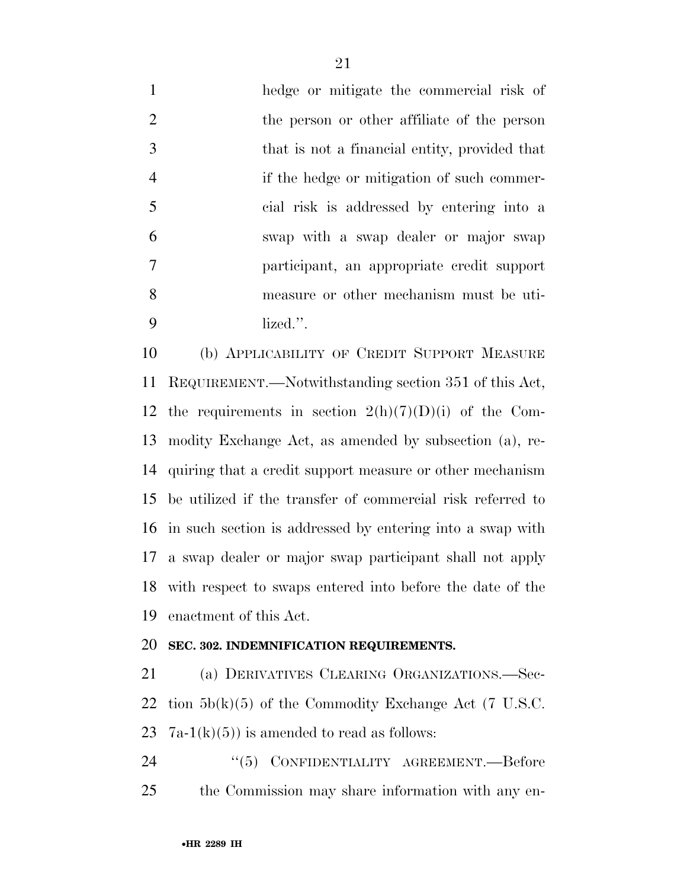hedge or mitigate the commercial risk of the person or other affiliate of the person that is not a financial entity, provided that if the hedge or mitigation of such commer- cial risk is addressed by entering into a swap with a swap dealer or major swap participant, an appropriate credit support measure or other mechanism must be uti-lized.''.

 (b) APPLICABILITY OF CREDIT SUPPORT MEASURE REQUIREMENT.—Notwithstanding section 351 of this Act, 12 the requirements in section  $2(h)(7)(D)(i)$  of the Com- modity Exchange Act, as amended by subsection (a), re- quiring that a credit support measure or other mechanism be utilized if the transfer of commercial risk referred to in such section is addressed by entering into a swap with a swap dealer or major swap participant shall not apply with respect to swaps entered into before the date of the enactment of this Act.

#### **SEC. 302. INDEMNIFICATION REQUIREMENTS.**

 (a) DERIVATIVES CLEARING ORGANIZATIONS.—Sec-22 tion  $5b(k)(5)$  of the Commodity Exchange Act (7 U.S.C. 23  $7a-1(k)(5)$  is amended to read as follows:

24 <sup>''(5)</sup> CONFIDENTIALITY AGREEMENT.—Before the Commission may share information with any en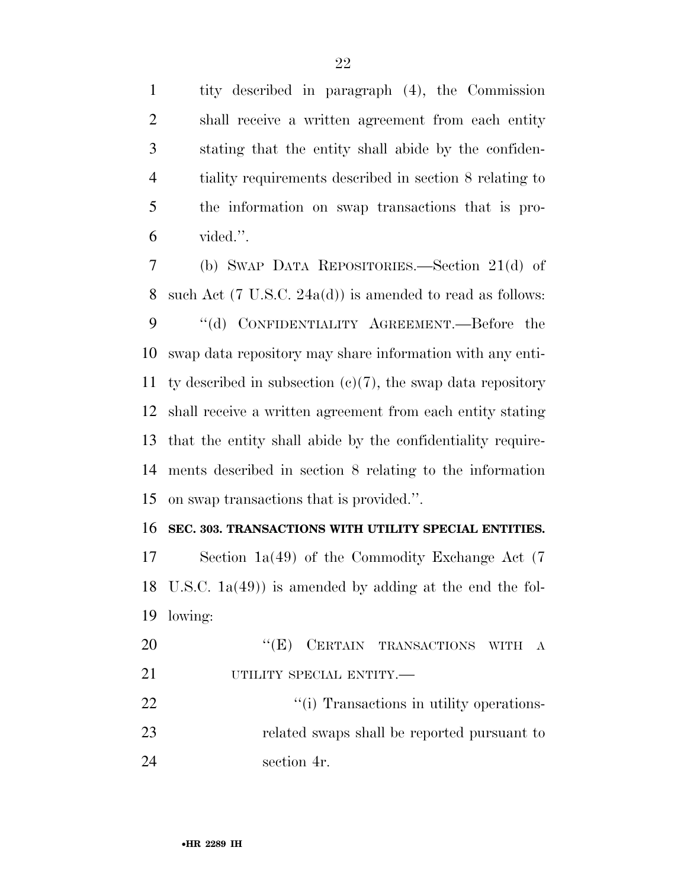tity described in paragraph (4), the Commission shall receive a written agreement from each entity stating that the entity shall abide by the confiden- tiality requirements described in section 8 relating to the information on swap transactions that is pro-vided.''.

 (b) SWAP DATA REPOSITORIES.—Section 21(d) of such Act (7 U.S.C. 24a(d)) is amended to read as follows: 9 "(d) CONFIDENTIALITY AGREEMENT.—Before the swap data repository may share information with any enti-11 ty described in subsection  $(c)(7)$ , the swap data repository shall receive a written agreement from each entity stating that the entity shall abide by the confidentiality require- ments described in section 8 relating to the information on swap transactions that is provided.''.

#### **SEC. 303. TRANSACTIONS WITH UTILITY SPECIAL ENTITIES.**

 Section 1a(49) of the Commodity Exchange Act (7 U.S.C. 1a(49)) is amended by adding at the end the fol-lowing:

20 "(E) CERTAIN TRANSACTIONS WITH A 21 UTILITY SPECIAL ENTITY.— 22 ''(i) Transactions in utility operations-related swaps shall be reported pursuant to

section 4r.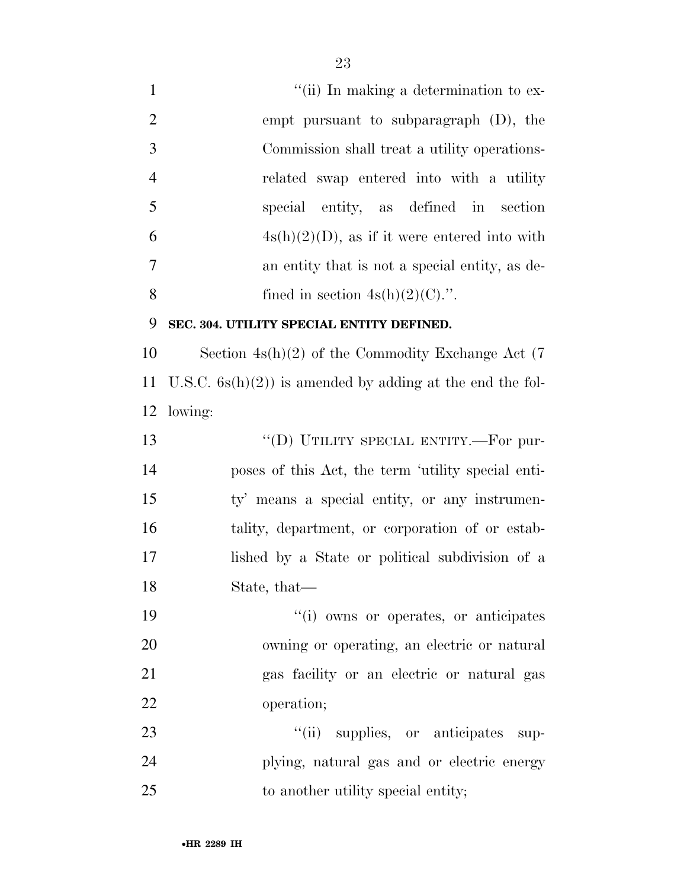1 ''(ii) In making a determination to ex- empt pursuant to subparagraph (D), the Commission shall treat a utility operations- related swap entered into with a utility special entity, as defined in section  $4s(h)(2)(D)$ , as if it were entered into with an entity that is not a special entity, as de-8 fined in section  $4s(h)(2)(C)$ .".

#### **SEC. 304. UTILITY SPECIAL ENTITY DEFINED.**

 Section 4s(h)(2) of the Commodity Exchange Act (7 U.S.C. 6s(h)(2)) is amended by adding at the end the fol-lowing:

13 "(D) UTILITY SPECIAL ENTITY.—For pur- poses of this Act, the term 'utility special enti- ty' means a special entity, or any instrumen- tality, department, or corporation of or estab- lished by a State or political subdivision of a State, that—

 ''(i) owns or operates, or anticipates owning or operating, an electric or natural gas facility or an electric or natural gas operation;

23  $\frac{1}{1}$  supplies, or anticipates sup- plying, natural gas and or electric energy 25 to another utility special entity;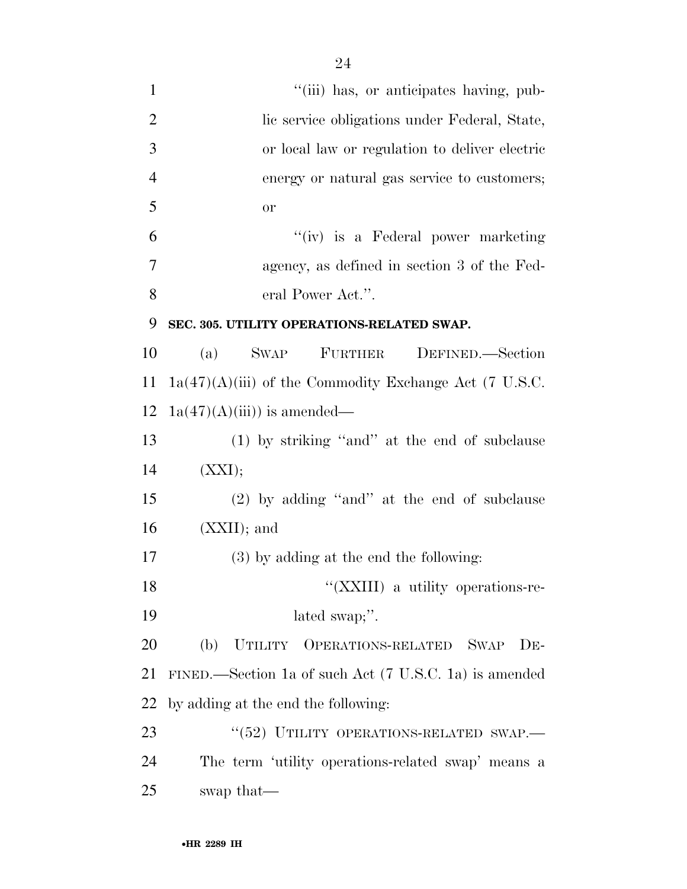| $\mathbf{1}$   | "(iii) has, or anticipates having, pub-                  |
|----------------|----------------------------------------------------------|
| $\overline{2}$ | lic service obligations under Federal, State,            |
| 3              | or local law or regulation to deliver electric           |
| $\overline{4}$ | energy or natural gas service to customers;              |
| 5              | <b>or</b>                                                |
| 6              | "(iv) is a Federal power marketing                       |
| 7              | agency, as defined in section 3 of the Fed-              |
| 8              | eral Power Act.".                                        |
| 9              | SEC. 305. UTILITY OPERATIONS-RELATED SWAP.               |
| 10             | SWAP FURTHER DEFINED.—Section<br>(a)                     |
| 11             | $1a(47)(A)(iii)$ of the Commodity Exchange Act (7 U.S.C. |
| 12             | $1a(47)(A(iii))$ is amended—                             |
| 13             | $(1)$ by striking "and" at the end of subclause          |
| 14             | (XXI);                                                   |
| 15             | $(2)$ by adding "and" at the end of subclause            |
| 16             | $(XXII);$ and                                            |
| 17             | $(3)$ by adding at the end the following:                |
| 18             | "(XXIII) a utility operations-re-                        |
| 19             | lated swap;".                                            |
| 20             | (b) UTILITY OPERATIONS-RELATED<br><b>SWAP</b><br>$DE-$   |
| 21             | FINED.—Section 1a of such Act (7 U.S.C. 1a) is amended   |
| 22             | by adding at the end the following:                      |
| 23             | "(52) UTILITY OPERATIONS-RELATED SWAP.-                  |
| 24             | The term 'utility operations-related swap' means a       |
| 25             | swap that—                                               |
|                |                                                          |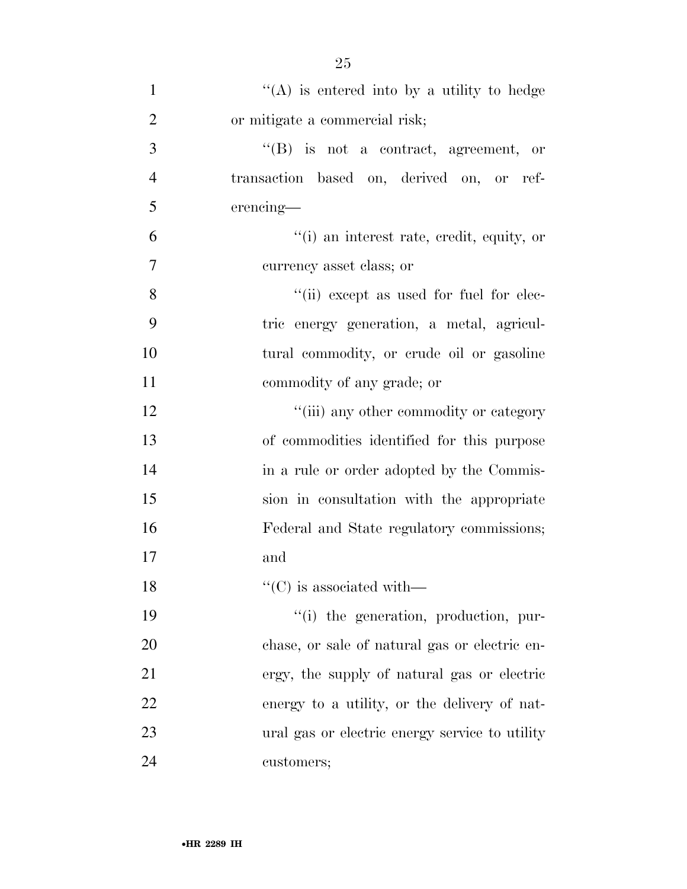| $\mathbf{1}$   | "(A) is entered into by a utility to hedge     |
|----------------|------------------------------------------------|
| $\overline{2}$ | or mitigate a commercial risk;                 |
| 3              | $\lq\lq$ is not a contract, agreement, or      |
| $\overline{4}$ | transaction based on, derived on, or ref-      |
| 5              | erencing—                                      |
| 6              | "(i) an interest rate, credit, equity, or      |
| 7              | currency asset class; or                       |
| 8              | "(ii) except as used for fuel for elec-        |
| 9              | tric energy generation, a metal, agricul-      |
| 10             | tural commodity, or crude oil or gasoline      |
| 11             | commodity of any grade; or                     |
| 12             | "(iii) any other commodity or category         |
| 13             | of commodities identified for this purpose     |
| 14             | in a rule or order adopted by the Commis-      |
| 15             | sion in consultation with the appropriate      |
| 16             | Federal and State regulatory commissions;      |
| 17             | and                                            |
| 18             | $\lq\lq$ (C) is associated with—               |
| 19             | "(i) the generation, production, pur-          |
| 20             | chase, or sale of natural gas or electric en-  |
| 21             | ergy, the supply of natural gas or electric    |
| 22             | energy to a utility, or the delivery of nat-   |
| 23             | ural gas or electric energy service to utility |
| 24             | customers;                                     |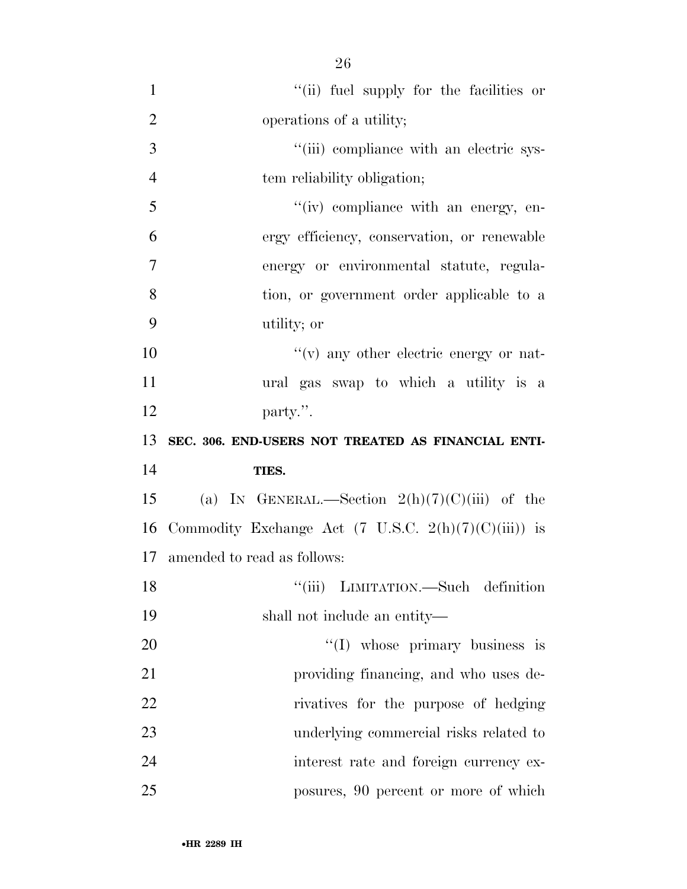| $\mathbf{1}$   | "(ii) fuel supply for the facilities or                         |
|----------------|-----------------------------------------------------------------|
| $\overline{2}$ | operations of a utility;                                        |
| 3              | "(iii) compliance with an electric sys-                         |
| $\overline{4}$ | tem reliability obligation;                                     |
| 5              | $``(iv)$ compliance with an energy, en-                         |
| 6              | ergy efficiency, conservation, or renewable                     |
| $\overline{7}$ | energy or environmental statute, regula-                        |
| 8              | tion, or government order applicable to a                       |
| 9              | utility; or                                                     |
| 10             | $f'(v)$ any other electric energy or nat-                       |
| 11             | ural gas swap to which a utility is a                           |
| 12             | party.".                                                        |
|                |                                                                 |
| 13             | SEC. 306. END-USERS NOT TREATED AS FINANCIAL ENTI-              |
| 14             | TIES.                                                           |
| 15             | (a) IN GENERAL.—Section $2(h)(7)(C)(iii)$ of the                |
| 16             | Commodity Exchange Act $(7 \text{ U.S.C. } 2(h)(7)(C)(iii))$ is |
| 17             | amended to read as follows:                                     |
| 18             | "(iii) LIMITATION.—Such definition                              |
| 19             | shall not include an entity—                                    |
| 20             | $\lq(1)$ whose primary business is                              |
| 21             | providing financing, and who uses de-                           |
| 22             | rivatives for the purpose of hedging                            |
| 23             | underlying commercial risks related to                          |
| 24             | interest rate and foreign currency ex-                          |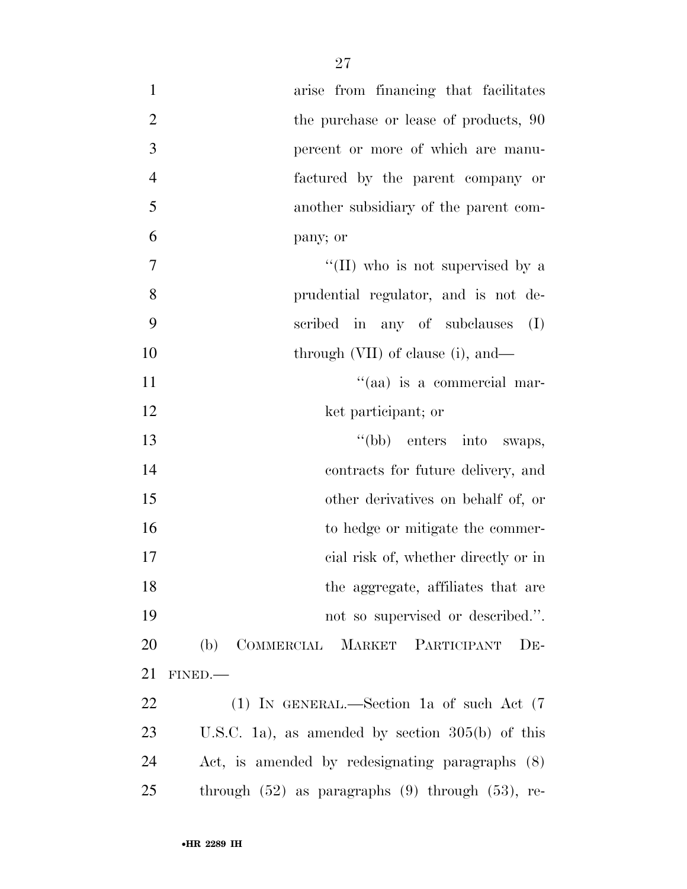| $\mathbf{1}$     | arise from financing that facilitates                   |
|------------------|---------------------------------------------------------|
| $\overline{2}$   | the purchase or lease of products, 90                   |
| 3                | percent or more of which are manu-                      |
| $\overline{4}$   | factured by the parent company or                       |
| 5                | another subsidiary of the parent com-                   |
| 6                | pany; or                                                |
| $\boldsymbol{7}$ | "(II) who is not supervised by a                        |
| 8                | prudential regulator, and is not de-                    |
| 9                | scribed in any of subclauses<br>(I)                     |
| 10               | through $(VII)$ of clause (i), and—                     |
| 11               | "(aa) is a commercial mar-                              |
| 12               | ket participant; or                                     |
| 13               | "(bb) enters into swaps,                                |
| 14               | contracts for future delivery, and                      |
| 15               | other derivatives on behalf of, or                      |
| 16               | to hedge or mitigate the commer-                        |
| 17               | cial risk of, whether directly or in                    |
| 18               | the aggregate, affiliates that are                      |
| 19               | not so supervised or described.".                       |
| 20               | COMMERCIAL MARKET PARTICIPANT<br>(b)<br>$DE-$           |
| 21               | FINED.                                                  |
| 22               | (1) IN GENERAL.—Section 1a of such Act $(7)$            |
| 23               | U.S.C. 1a), as amended by section $305(b)$ of this      |
| 24               | Act, is amended by redesignating paragraphs (8)         |
| 25               | through $(52)$ as paragraphs $(9)$ through $(53)$ , re- |
|                  |                                                         |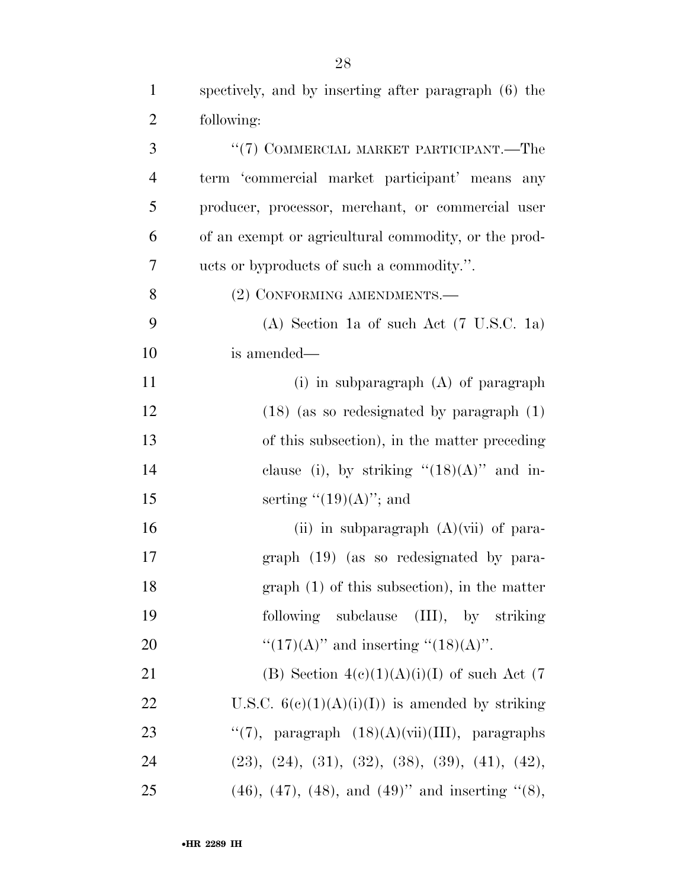spectively, and by inserting after paragraph (6) the

| $\overline{2}$ | following:                                                      |
|----------------|-----------------------------------------------------------------|
| 3              | "(7) COMMERCIAL MARKET PARTICIPANT.—The                         |
| $\overline{4}$ | term 'commercial market participant' means<br>any               |
| 5              | producer, processor, merchant, or commercial user               |
| 6              | of an exempt or agricultural commodity, or the prod-            |
| 7              | ucts or byproducts of such a commodity.".                       |
| 8              | (2) CONFORMING AMENDMENTS.-                                     |
| 9              | (A) Section 1a of such Act (7 U.S.C. 1a)                        |
| 10             | is amended—                                                     |
| 11             | (i) in subparagraph $(A)$ of paragraph                          |
| 12             | $(18)$ (as so redesignated by paragraph $(1)$ )                 |
| 13             | of this subsection), in the matter preceding                    |
| 14             | clause (i), by striking " $(18)(A)$ " and in-                   |
| 15             | serting " $(19)(A)$ "; and                                      |
| 16             | (ii) in subparagraph $(A)(vii)$ of para-                        |
| 17             | graph (19) (as so redesignated by para-                         |
| 18             | $graph(1)$ of this subsection), in the matter                   |
| 19             | following subclause (III), by striking                          |
| 20             | " $(17)(A)$ " and inserting " $(18)(A)$ ".                      |
| 21             | (B) Section $4(c)(1)(A)(i)(I)$ of such Act (7)                  |
| 22             | U.S.C. $6(e)(1)(A)(i)(I))$ is amended by striking               |
| 23             | "(7), paragraph $(18)(A)(vii)(III)$ , paragraphs                |
| 24             | $(23), (24), (31), (32), (38), (39), (41), (42),$               |
| 25             | $(46)$ , $(47)$ , $(48)$ , and $(49)$ " and inserting " $(8)$ , |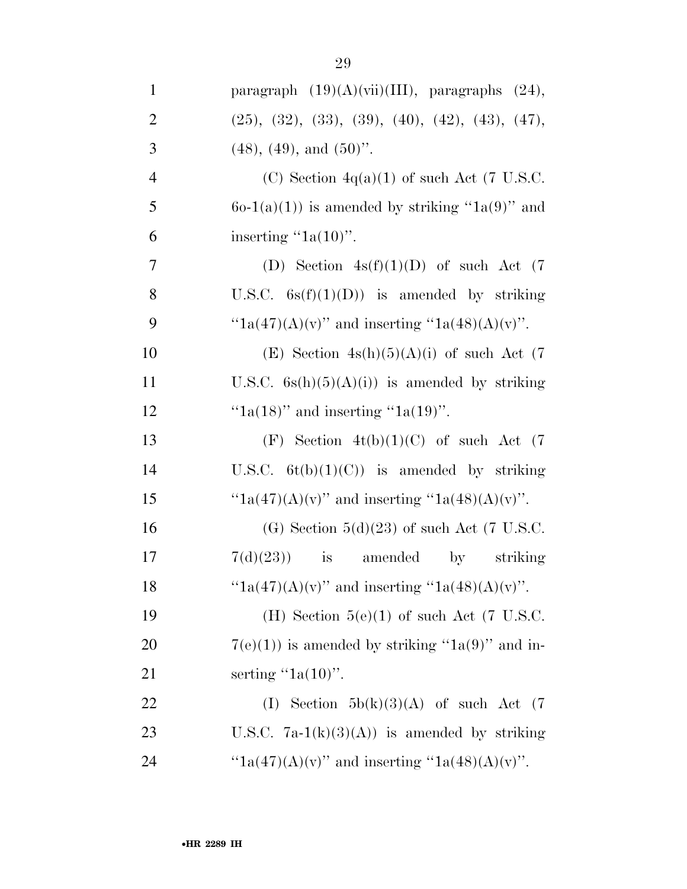| $\mathbf{1}$   | paragraph $(19)(A)(vii)(III)$ , paragraphs $(24)$ ,  |
|----------------|------------------------------------------------------|
| $\overline{2}$ | $(25), (32), (33), (39), (40), (42), (43), (47),$    |
| 3              | $(48)$ , $(49)$ , and $(50)$ ".                      |
| $\overline{4}$ | (C) Section $4q(a)(1)$ of such Act (7 U.S.C.         |
| 5              | $6o-1(a)(1)$ is amended by striking "1a(9)" and      |
| 6              | inserting " $1a(10)$ ".                              |
| 7              | (D) Section $4s(f)(1)(D)$ of such Act (7)            |
| 8              | U.S.C. $6s(f)(1)(D)$ is amended by striking          |
| 9              | " $1a(47)(A)(v)$ " and inserting " $1a(48)(A)(v)$ ". |
| 10             | (E) Section $4s(h)(5)(A)(i)$ of such Act (7)         |
| 11             | U.S.C. $6s(h)(5)(A)(i)$ is amended by striking       |
| 12             | " $1a(18)$ " and inserting " $1a(19)$ ".             |
| 13             | (F) Section $4t(b)(1)(C)$ of such Act (7)            |
| 14             | U.S.C. $6t(b)(1)(C)$ is amended by striking          |
| 15             | " $1a(47)(A)(v)$ " and inserting " $1a(48)(A)(v)$ ". |
| 16             | (G) Section $5(d)(23)$ of such Act (7 U.S.C.         |
| 17             | $7(d)(23)$ is amended<br>striking<br>$\mathbf{by}$   |
| 18             | " $1a(47)(A)(v)$ " and inserting " $1a(48)(A)(v)$ ". |
| 19             | (H) Section $5(e)(1)$ of such Act (7 U.S.C.          |
| 20             | $7(e)(1)$ ) is amended by striking "1a(9)" and in-   |
| 21             | serting " $1a(10)$ ".                                |
| 22             | (I) Section $5b(k)(3)(A)$ of such Act (7)            |
| 23             | U.S.C. $7a-1(k)(3)(A)$ is amended by striking        |
| 24             | " $1a(47)(A)(v)$ " and inserting " $1a(48)(A)(v)$ ". |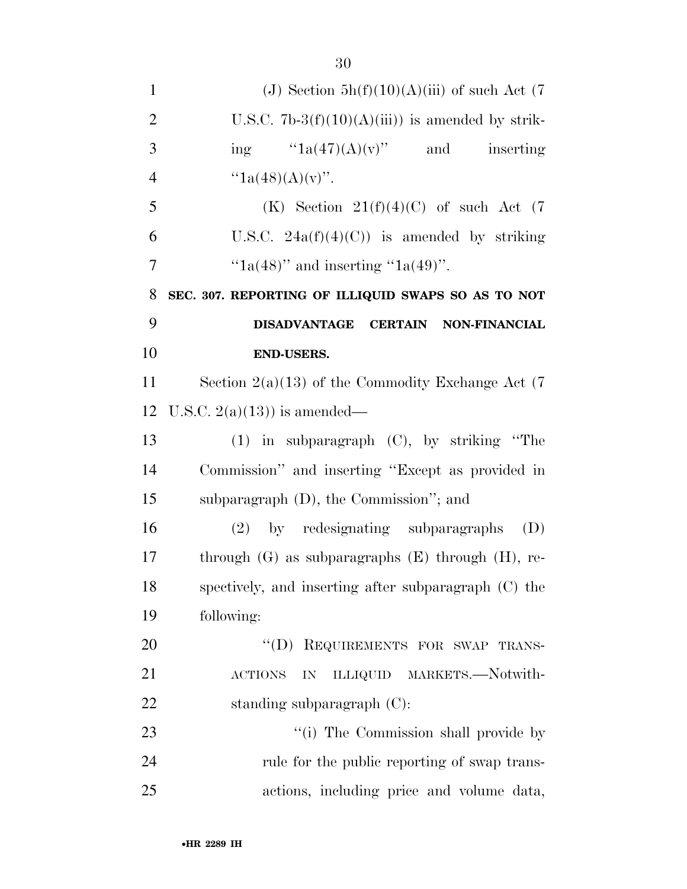| $\mathbf{1}$   | (J) Section $5h(f)(10)(A)(iii)$ of such Act (7)          |
|----------------|----------------------------------------------------------|
| $\overline{2}$ | U.S.C. 7b-3 $(f)(10)(A)(iii)$ is amended by strik-       |
| 3              | ing $"1a(47)(A)(v)"$ and<br>inserting                    |
| $\overline{4}$ | " $1a(48)(A)(v)$ ".                                      |
| 5              | (K) Section $21(f)(4)(C)$ of such Act (7)                |
| 6              | U.S.C. $24a(f)(4)(C)$ is amended by striking             |
| $\overline{7}$ | " $1a(48)$ " and inserting " $1a(49)$ ".                 |
| 8              | SEC. 307. REPORTING OF ILLIQUID SWAPS SO AS TO NOT       |
| 9              | DISADVANTAGE CERTAIN NON-FINANCIAL                       |
| 10             | <b>END-USERS.</b>                                        |
| 11             | Section $2(a)(13)$ of the Commodity Exchange Act (7)     |
| 12             | U.S.C. $2(a)(13)$ is amended—                            |
| 13             | $(1)$ in subparagraph $(C)$ , by striking "The           |
| 14             | Commission" and inserting "Except as provided in         |
| 15             | subparagraph $(D)$ , the Commission"; and                |
| 16             | (2) by redesignating subparagraphs<br>(D)                |
| 17             | through $(G)$ as subparagraphs $(E)$ through $(H)$ , re- |
| 18             | spectively, and inserting after subparagraph (C) the     |
| 19             | following:                                               |
| 20             | "(D) REQUIREMENTS FOR SWAP TRANS-                        |
| 21             | ILLIQUID MARKETS.-Notwith-<br><b>ACTIONS</b><br>IN       |
| 22             | standing subparagraph $(C)$ :                            |
| 23             | "(i) The Commission shall provide by                     |
| 24             | rule for the public reporting of swap trans-             |
| 25             | actions, including price and volume data,                |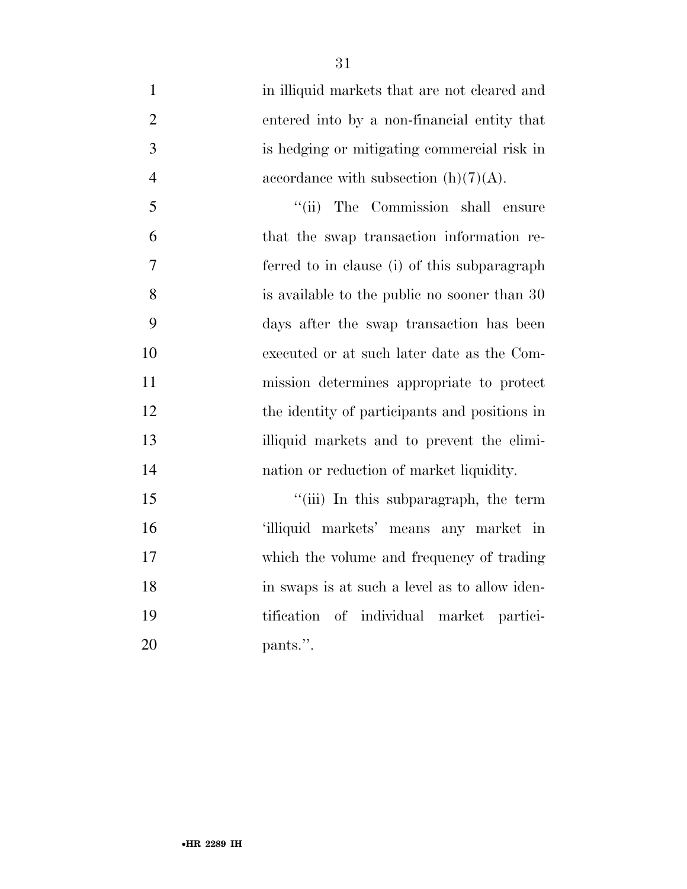1 in illiquid markets that are not cleared and entered into by a non-financial entity that is hedging or mitigating commercial risk in 4 accordance with subsection  $(h)(7)(A)$ . 5 "(ii) The Commission shall ensure that the swap transaction information re- ferred to in clause (i) of this subparagraph is available to the public no sooner than 30 days after the swap transaction has been executed or at such later date as the Com- mission determines appropriate to protect 12 the identity of participants and positions in illiquid markets and to prevent the elimi-nation or reduction of market liquidity.

15 ''(iii) In this subparagraph, the term 'illiquid markets' means any market in which the volume and frequency of trading in swaps is at such a level as to allow iden- tification of individual market partici-20 pants.".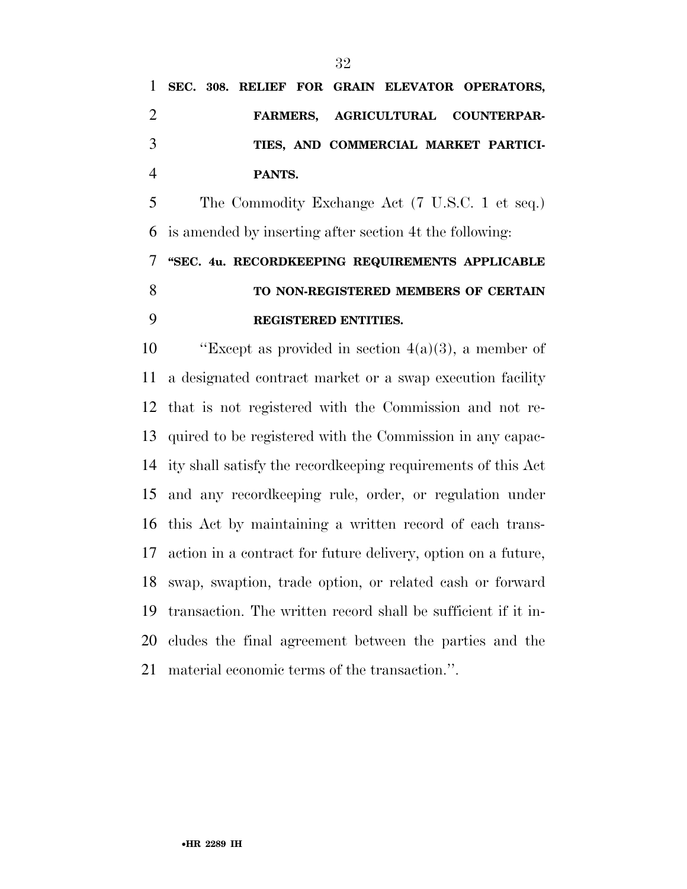|                |  |        |  |  | 1 SEC. 308. RELIEF FOR GRAIN ELEVATOR OPERATORS, |
|----------------|--|--------|--|--|--------------------------------------------------|
| $\overline{2}$ |  |        |  |  | FARMERS, AGRICULTURAL COUNTERPAR-                |
| 3              |  |        |  |  | TIES, AND COMMERCIAL MARKET PARTICI-             |
|                |  | PANTS. |  |  |                                                  |

 The Commodity Exchange Act (7 U.S.C. 1 et seq.) is amended by inserting after section 4t the following:

## **''SEC. 4u. RECORDKEEPING REQUIREMENTS APPLICABLE TO NON-REGISTERED MEMBERS OF CERTAIN REGISTERED ENTITIES.**

 $\text{``Except as provided in section } 4(a)(3), \text{ a member of }$  a designated contract market or a swap execution facility that is not registered with the Commission and not re- quired to be registered with the Commission in any capac- ity shall satisfy the recordkeeping requirements of this Act and any recordkeeping rule, order, or regulation under this Act by maintaining a written record of each trans- action in a contract for future delivery, option on a future, swap, swaption, trade option, or related cash or forward transaction. The written record shall be sufficient if it in- cludes the final agreement between the parties and the material economic terms of the transaction.''.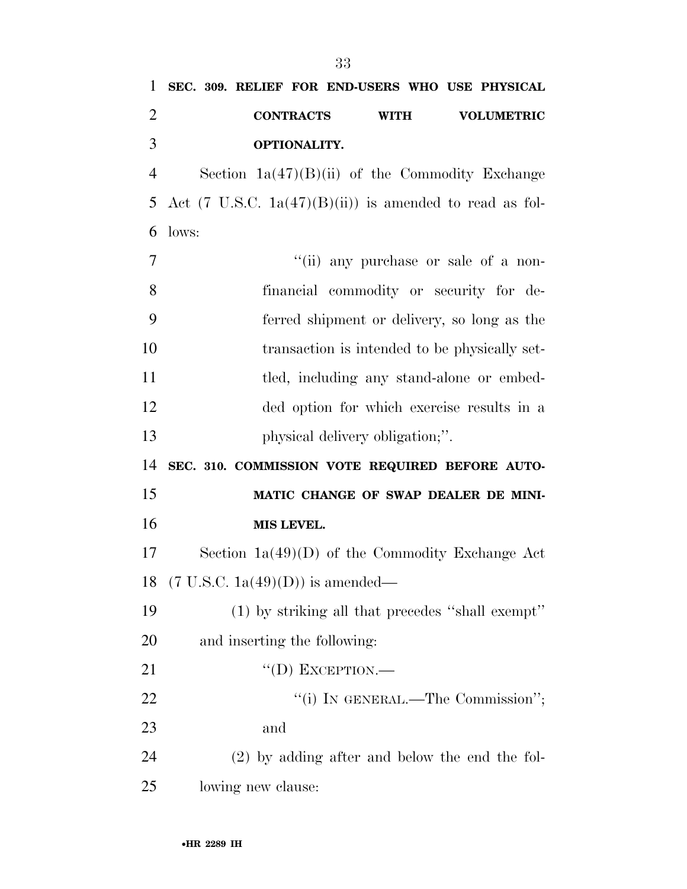| 1              | SEC. 309. RELIEF FOR END-USERS WHO USE PHYSICAL                    |
|----------------|--------------------------------------------------------------------|
| $\overline{2}$ | <b>CONTRACTS</b><br><b>WITH</b><br><b>VOLUMETRIC</b>               |
| 3              | OPTIONALITY.                                                       |
| $\overline{4}$ | Section $1a(47)(B)(ii)$ of the Commodity Exchange                  |
| 5              | Act $(7 \text{ U.S.C. } 1a(47)(B)(ii))$ is amended to read as fol- |
| 6              | lows:                                                              |
| 7              | "(ii) any purchase or sale of a non-                               |
| 8              | financial commodity or security for de-                            |
| 9              | ferred shipment or delivery, so long as the                        |
| 10             | transaction is intended to be physically set-                      |
| 11             | tled, including any stand-alone or embed-                          |
| 12             | ded option for which exercise results in a                         |
| 13             | physical delivery obligation;".                                    |
| 14             | SEC. 310. COMMISSION VOTE REQUIRED BEFORE AUTO-                    |
| 15             | MATIC CHANGE OF SWAP DEALER DE MINI-                               |
| 16             | MIS LEVEL.                                                         |
| 17             | Section $1a(49)(D)$ of the Commodity Exchange Act                  |
|                | 18 $(7 \text{ U.S.C. } 1a(49)(D))$ is amended—                     |
| 19             | (1) by striking all that precedes "shall exempt"                   |
| 20             | and inserting the following:                                       |
| 21             | $``$ (D) EXCEPTION.—                                               |
| 22             | "(i) IN GENERAL.—The Commission";                                  |
| 23             | and                                                                |
| 24             | $(2)$ by adding after and below the end the fol-                   |
| 25             | lowing new clause:                                                 |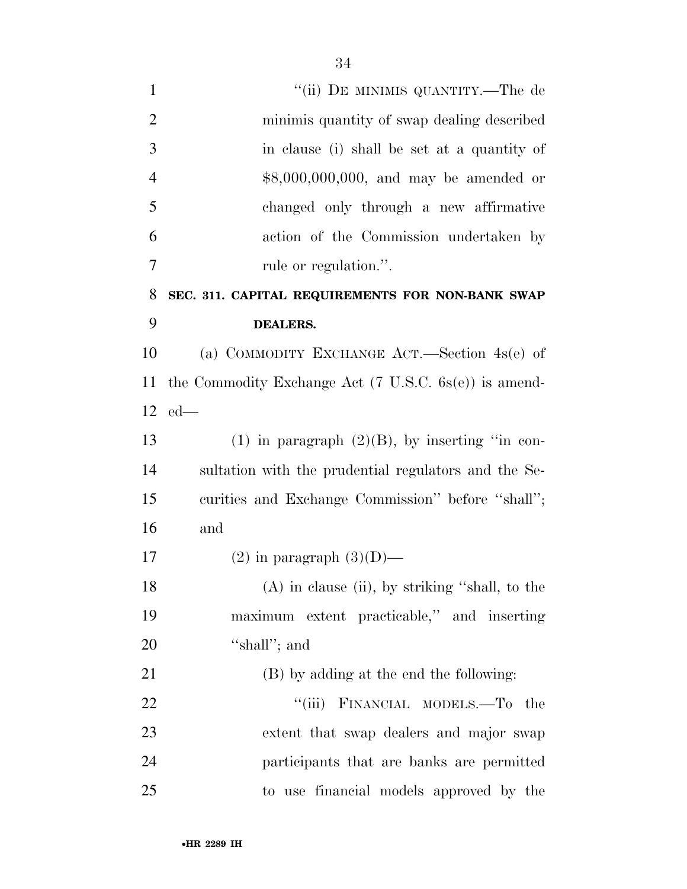| $\mathbf{1}$   | "(ii) DE MINIMIS QUANTITY.—The de                                |
|----------------|------------------------------------------------------------------|
| $\overline{2}$ | minimis quantity of swap dealing described                       |
| 3              | in clause (i) shall be set at a quantity of                      |
| $\overline{4}$ | \$8,000,000,000, and may be amended or                           |
| 5              | changed only through a new affirmative                           |
| 6              | action of the Commission undertaken by                           |
| $\overline{7}$ | rule or regulation.".                                            |
| 8              | SEC. 311. CAPITAL REQUIREMENTS FOR NON-BANK SWAP                 |
| 9              | <b>DEALERS.</b>                                                  |
| 10             | (a) COMMODITY EXCHANGE ACT.—Section $4s(e)$ of                   |
| 11             | the Commodity Exchange Act $(7 \text{ U.S.C. } 6s(e))$ is amend- |
|                | $12$ ed—                                                         |
| 13             | $(1)$ in paragraph $(2)(B)$ , by inserting "in con-              |
| 14             | sultation with the prudential regulators and the Se-             |
| 15             | curities and Exchange Commission" before "shall";                |
| 16             | and                                                              |
| 17             | $(2)$ in paragraph $(3)(D)$ —                                    |
| 18             | (A) in clause (ii), by striking "shall, to the                   |
| 19             | maximum extent practicable," and inserting                       |
| 20             | "shall"; and                                                     |
| 21             | (B) by adding at the end the following:                          |
| 22             | "(iii) FINANCIAL MODELS.—To the                                  |
| 23             | extent that swap dealers and major swap                          |
| 24             | participants that are banks are permitted                        |
| 25             | to use financial models approved by the                          |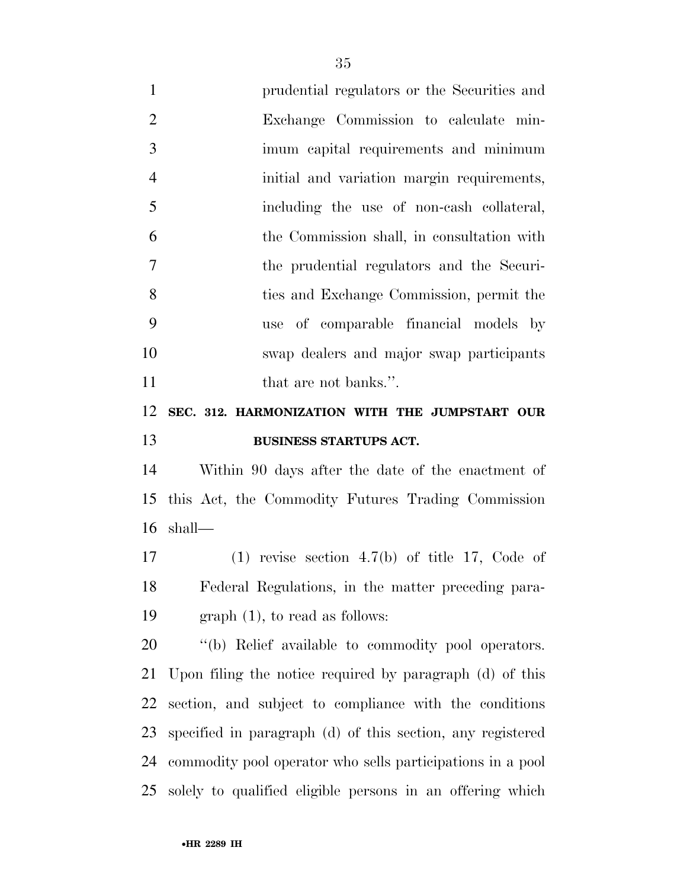prudential regulators or the Securities and Exchange Commission to calculate min- imum capital requirements and minimum initial and variation margin requirements, including the use of non-cash collateral, the Commission shall, in consultation with the prudential regulators and the Securi- ties and Exchange Commission, permit the use of comparable financial models by swap dealers and major swap participants 11 that are not banks.".

## **SEC. 312. HARMONIZATION WITH THE JUMPSTART OUR BUSINESS STARTUPS ACT.**

 Within 90 days after the date of the enactment of this Act, the Commodity Futures Trading Commission shall—

 (1) revise section 4.7(b) of title 17, Code of Federal Regulations, in the matter preceding para-graph (1), to read as follows:

 ''(b) Relief available to commodity pool operators. Upon filing the notice required by paragraph (d) of this section, and subject to compliance with the conditions specified in paragraph (d) of this section, any registered commodity pool operator who sells participations in a pool solely to qualified eligible persons in an offering which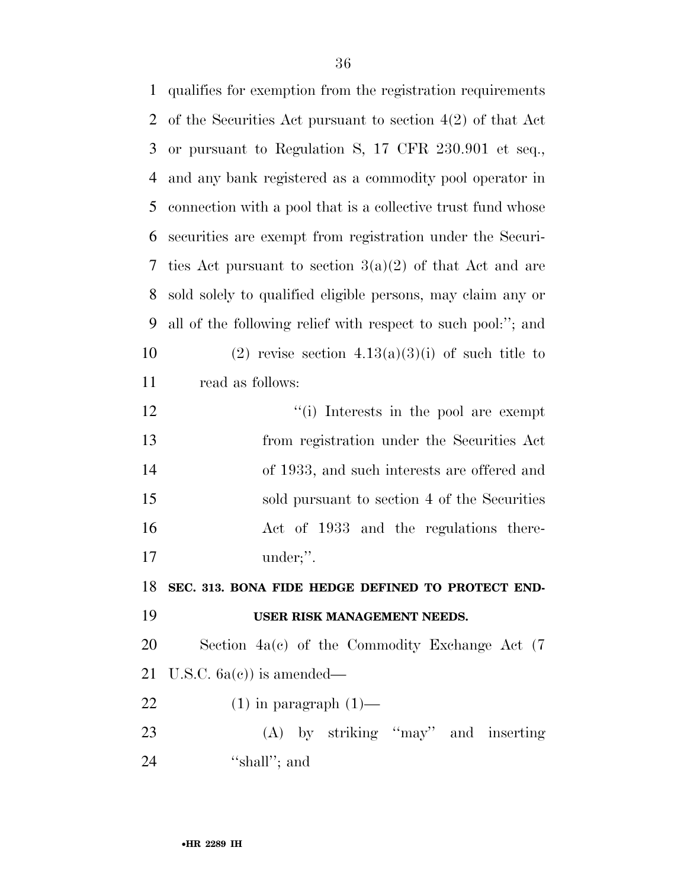| $\mathbf{1}$ | qualifies for exemption from the registration requirements   |
|--------------|--------------------------------------------------------------|
| 2            | of the Securities Act pursuant to section $4(2)$ of that Act |
| 3            | or pursuant to Regulation S, 17 CFR 230.901 et seq.,         |
| 4            | and any bank registered as a commodity pool operator in      |
| 5            | connection with a pool that is a collective trust fund whose |
| 6            | securities are exempt from registration under the Securi-    |
| 7            | ties Act pursuant to section $3(a)(2)$ of that Act and are   |
| 8            | sold solely to qualified eligible persons, may claim any or  |
| 9            | all of the following relief with respect to such pool:"; and |
| 10           | (2) revise section $4.13(a)(3)(i)$ of such title to          |
| 11           | read as follows:                                             |
| 12           | "(i) Interests in the pool are exempt                        |
| 13           | from registration under the Securities Act                   |
| 14           | of 1933, and such interests are offered and                  |
| 15           | sold pursuant to section 4 of the Securities                 |
| 16           | Act of 1933 and the regulations there-                       |
| 17           | under;".                                                     |
| 18           | SEC. 313. BONA FIDE HEDGE DEFINED TO PROTECT END-            |
| 19           | USER RISK MANAGEMENT NEEDS.                                  |
| 20           | Section 4a(c) of the Commodity Exchange Act (7               |
| 21           | U.S.C. $6a(e)$ is amended—                                   |
| 22           | $(1)$ in paragraph $(1)$ —                                   |
| 23           | (A) by striking "may" and inserting                          |
| 24           | "shall"; and                                                 |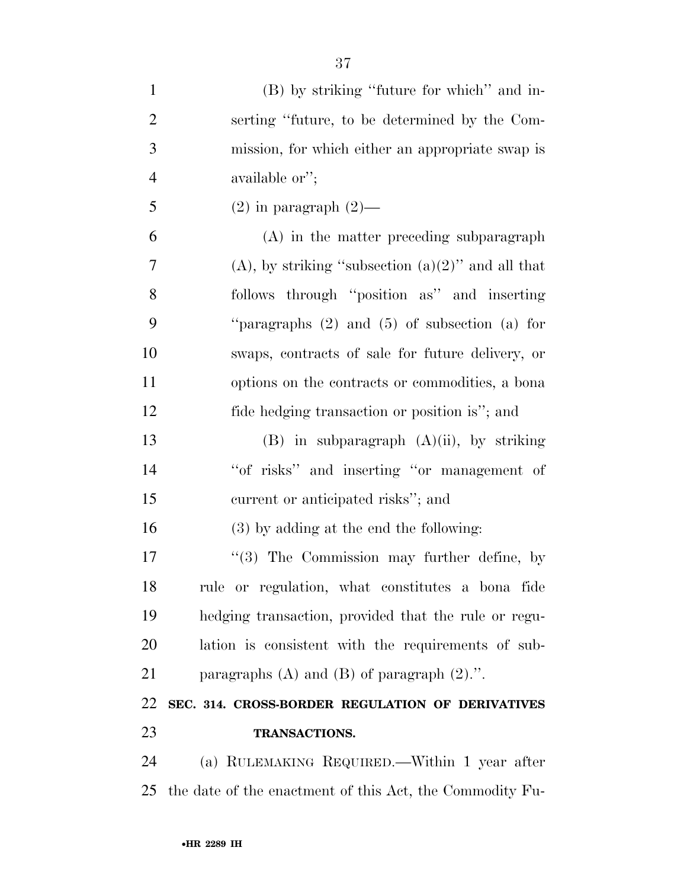| $\mathbf{1}$   | (B) by striking "future for which" and in-               |
|----------------|----------------------------------------------------------|
| $\overline{2}$ | serting "future, to be determined by the Com-            |
| 3              | mission, for which either an appropriate swap is         |
| $\overline{4}$ | available or";                                           |
| 5              | $(2)$ in paragraph $(2)$ —                               |
| 6              | (A) in the matter preceding subparagraph                 |
| 7              | $(A)$ , by striking "subsection $(a)(2)$ " and all that  |
| 8              | follows through "position as" and inserting              |
| 9              | "paragraphs $(2)$ and $(5)$ of subsection $(a)$ for      |
| 10             | swaps, contracts of sale for future delivery, or         |
| 11             | options on the contracts or commodities, a bona          |
| 12             | fide hedging transaction or position is"; and            |
| 13             | $(B)$ in subparagraph $(A)(ii)$ , by striking            |
| 14             | "of risks" and inserting "or management of               |
| 15             | current or anticipated risks"; and                       |
| 16             | (3) by adding at the end the following:                  |
| 17             | "(3) The Commission may further define, by               |
| 18             | rule or regulation, what constitutes a bona fide         |
| 19             | hedging transaction, provided that the rule or regu-     |
| 20             | lation is consistent with the requirements of sub-       |
| 21             | paragraphs $(A)$ and $(B)$ of paragraph $(2)$ .".        |
| 22             | SEC. 314. CROSS-BORDER REGULATION OF DERIVATIVES         |
| 23             | TRANSACTIONS.                                            |
| 24             | (a) RULEMAKING REQUIRED.—Within 1 year after             |
| 25             | the date of the enactment of this Act, the Commodity Fu- |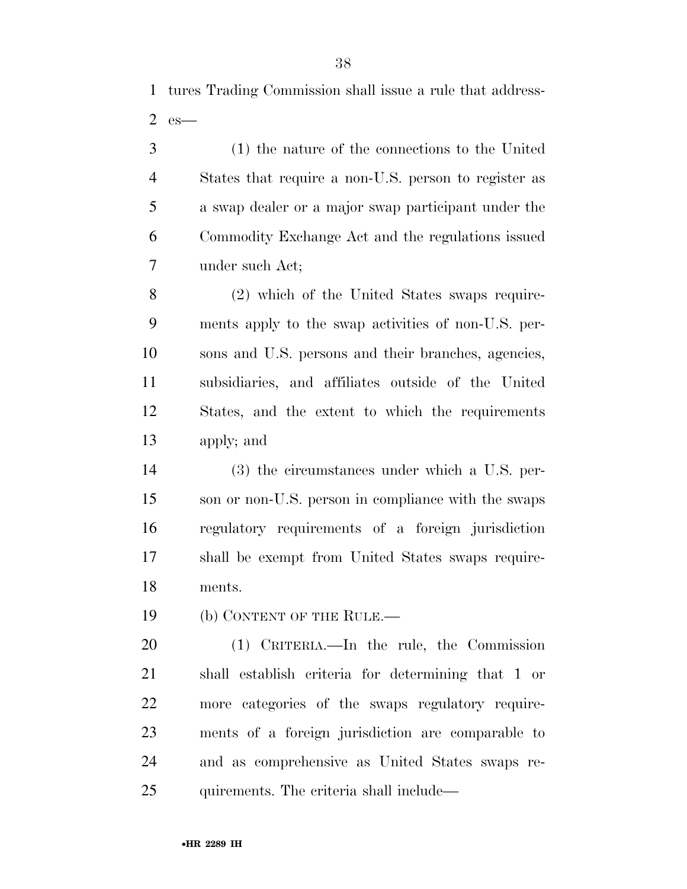tures Trading Commission shall issue a rule that address-es—

 (1) the nature of the connections to the United States that require a non-U.S. person to register as a swap dealer or a major swap participant under the Commodity Exchange Act and the regulations issued under such Act;

 (2) which of the United States swaps require- ments apply to the swap activities of non-U.S. per- sons and U.S. persons and their branches, agencies, subsidiaries, and affiliates outside of the United States, and the extent to which the requirements apply; and

 (3) the circumstances under which a U.S. per- son or non-U.S. person in compliance with the swaps regulatory requirements of a foreign jurisdiction shall be exempt from United States swaps require-ments.

19 (b) CONTENT OF THE RULE.—

 (1) CRITERIA.—In the rule, the Commission shall establish criteria for determining that 1 or more categories of the swaps regulatory require- ments of a foreign jurisdiction are comparable to and as comprehensive as United States swaps re-quirements. The criteria shall include—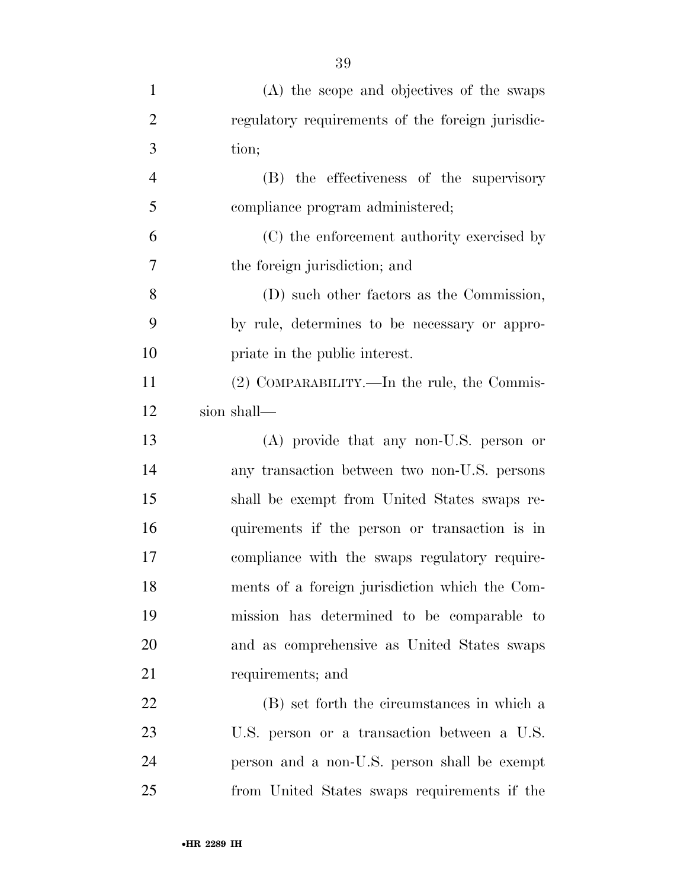| $\mathbf{1}$   | (A) the scope and objectives of the swaps        |
|----------------|--------------------------------------------------|
| $\overline{2}$ | regulatory requirements of the foreign jurisdic- |
| 3              | tion;                                            |
| $\overline{4}$ | (B) the effectiveness of the supervisory         |
| 5              | compliance program administered;                 |
| 6              | (C) the enforcement authority exercised by       |
| $\overline{7}$ | the foreign jurisdiction; and                    |
| 8              | (D) such other factors as the Commission,        |
| 9              | by rule, determines to be necessary or appro-    |
| 10             | priate in the public interest.                   |
| 11             | (2) COMPARABILITY.—In the rule, the Commis-      |
| 12             | sion shall—                                      |
| 13             | (A) provide that any non-U.S. person or          |
| 14             | any transaction between two non-U.S. persons     |
| 15             | shall be exempt from United States swaps re-     |
| 16             | quirements if the person or transaction is in    |
| 17             | compliance with the swaps regulatory require-    |
| 18             | ments of a foreign jurisdiction which the Com-   |
| 19             | mission has determined to be comparable to       |
| 20             | and as comprehensive as United States swaps      |
| 21             | requirements; and                                |
| 22             | (B) set forth the circumstances in which a       |
| 23             | U.S. person or a transaction between a U.S.      |
| 24             | person and a non-U.S. person shall be exempt     |
| 25             | from United States swaps requirements if the     |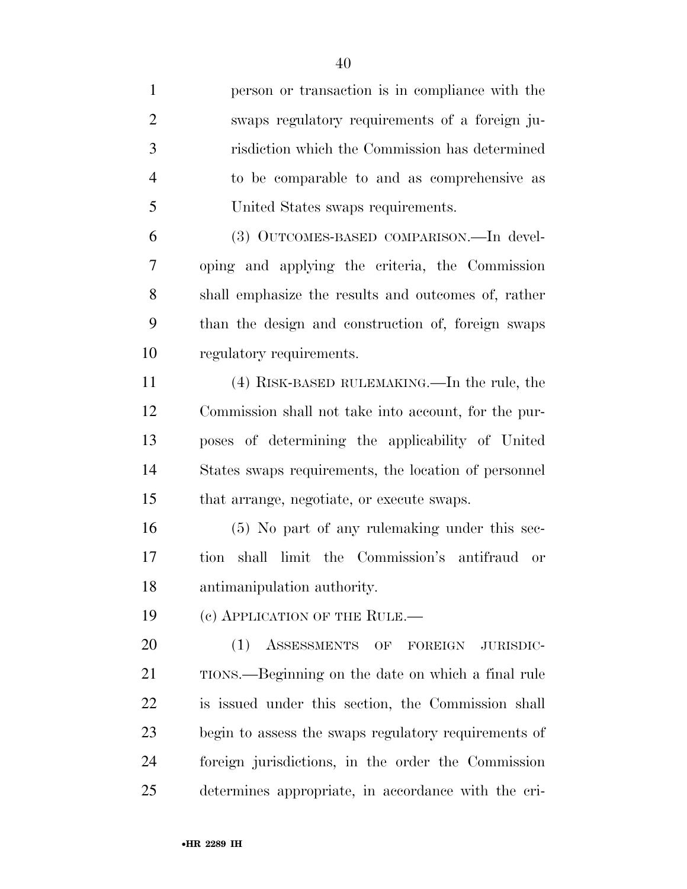person or transaction is in compliance with the swaps regulatory requirements of a foreign ju- risdiction which the Commission has determined to be comparable to and as comprehensive as United States swaps requirements.

 (3) OUTCOMES-BASED COMPARISON.—In devel- oping and applying the criteria, the Commission shall emphasize the results and outcomes of, rather than the design and construction of, foreign swaps regulatory requirements.

 (4) RISK-BASED RULEMAKING.—In the rule, the Commission shall not take into account, for the pur- poses of determining the applicability of United States swaps requirements, the location of personnel that arrange, negotiate, or execute swaps.

 (5) No part of any rulemaking under this sec- tion shall limit the Commission's antifraud or antimanipulation authority.

19 (c) APPLICATION OF THE RULE.—

20 (1) ASSESSMENTS OF FOREIGN JURISDIC- TIONS.—Beginning on the date on which a final rule is issued under this section, the Commission shall begin to assess the swaps regulatory requirements of foreign jurisdictions, in the order the Commission determines appropriate, in accordance with the cri-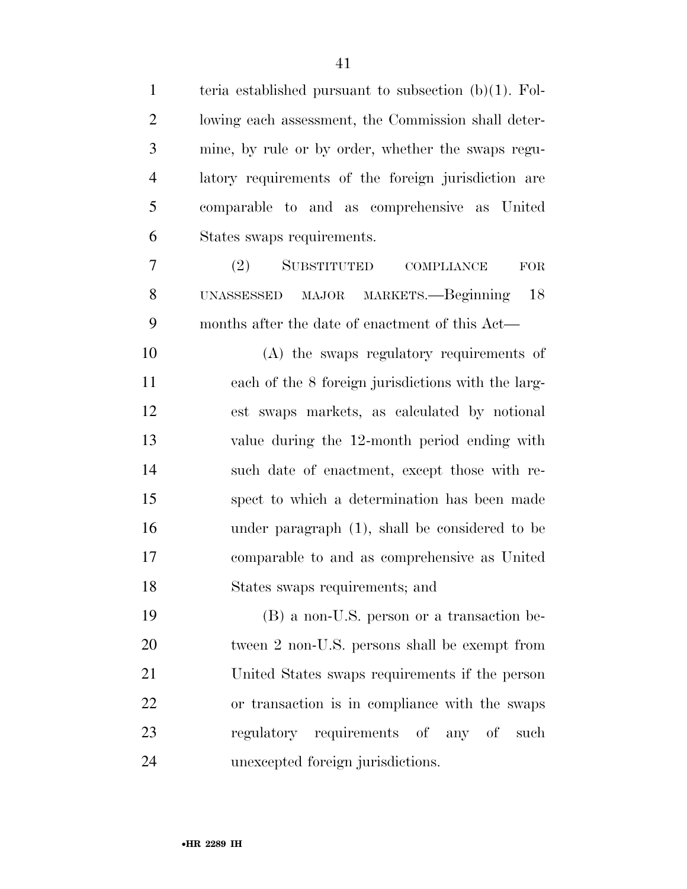| $\mathbf{1}$   | teria established pursuant to subsection $(b)(1)$ . Fol- |
|----------------|----------------------------------------------------------|
| $\overline{2}$ | lowing each assessment, the Commission shall deter-      |
| 3              | mine, by rule or by order, whether the swaps regu-       |
| $\overline{4}$ | latory requirements of the foreign jurisdiction are      |
| 5              | comparable to and as comprehensive as United             |
| 6              | States swaps requirements.                               |
| 7              | SUBSTITUTED<br>(2)<br>COMPLIANCE<br>${\rm FOR}$          |
| 8              | MAJOR MARKETS.—Beginning<br>18<br>UNASSESSED             |
| 9              | months after the date of enactment of this Act—          |
| 10             | (A) the swaps regulatory requirements of                 |
| 11             | each of the 8 foreign jurisdictions with the larg-       |
| 12             | est swaps markets, as calculated by notional             |
| 13             | value during the 12-month period ending with             |
| 14             | such date of enactment, except those with re-            |
| 15             | spect to which a determination has been made             |
| 16             | under paragraph (1), shall be considered to be           |
| 17             | comparable to and as comprehensive as United             |
| 18             | States swaps requirements; and                           |
| 19             | (B) a non-U.S. person or a transaction be-               |
| 20             | tween 2 non-U.S. persons shall be exempt from            |
| 21             | United States swaps requirements if the person           |
| 22             | or transaction is in compliance with the swaps           |
| 23             | regulatory requirements of any of<br>such                |
| 24             | unexcepted foreign jurisdictions.                        |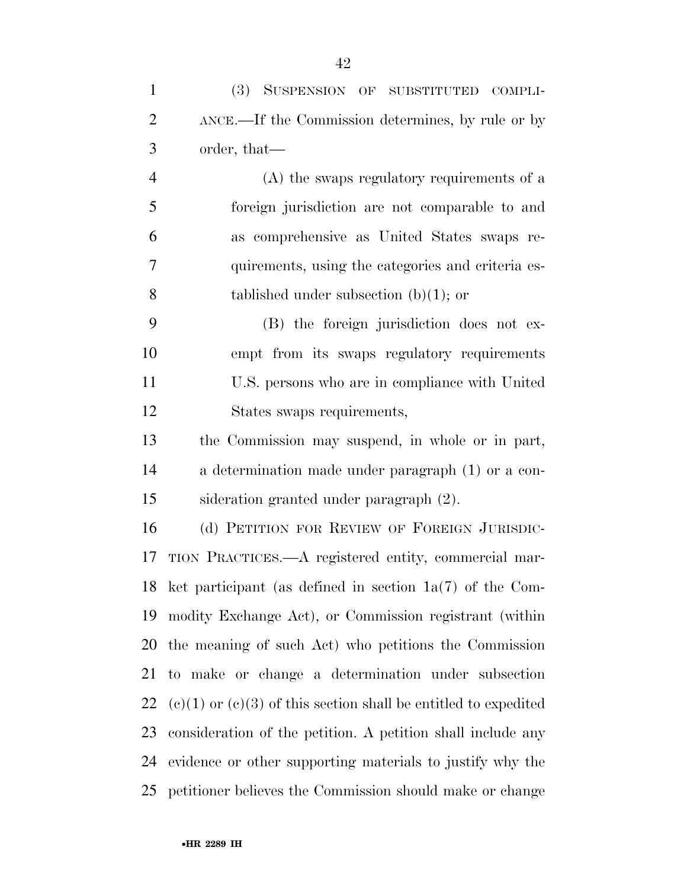| $\mathbf{1}$   | (3) SUSPENSION OF SUBSTITUTED<br>COMPLI-                            |
|----------------|---------------------------------------------------------------------|
| $\overline{2}$ | ANCE.—If the Commission determines, by rule or by                   |
| 3              | order, that—                                                        |
| $\overline{4}$ | (A) the swaps regulatory requirements of a                          |
| 5              | foreign jurisdiction are not comparable to and                      |
| 6              | as comprehensive as United States swaps re-                         |
| $\tau$         | quirements, using the categories and criteria es-                   |
| 8              | tablished under subsection $(b)(1)$ ; or                            |
| 9              | (B) the foreign jurisdiction does not ex-                           |
| 10             | empt from its swaps regulatory requirements                         |
| 11             | U.S. persons who are in compliance with United                      |
| 12             | States swaps requirements,                                          |
| 13             | the Commission may suspend, in whole or in part,                    |
| 14             | a determination made under paragraph (1) or a con-                  |
| 15             | sideration granted under paragraph (2).                             |
| 16             | (d) PETITION FOR REVIEW OF FOREIGN JURISDIC-                        |
| 17             | TION PRACTICES.—A registered entity, commercial mar-                |
|                | 18 ket participant (as defined in section $1a(7)$ of the Com-       |
| 19             | modity Exchange Act), or Commission registrant (within              |
| 20             | the meaning of such Act) who petitions the Commission               |
| 21             | to make or change a determination under subsection                  |
| 22             | $(e)(1)$ or $(e)(3)$ of this section shall be entitled to expedited |
| 23             | consideration of the petition. A petition shall include any         |
| 24             | evidence or other supporting materials to justify why the           |
| 25             | petitioner believes the Commission should make or change            |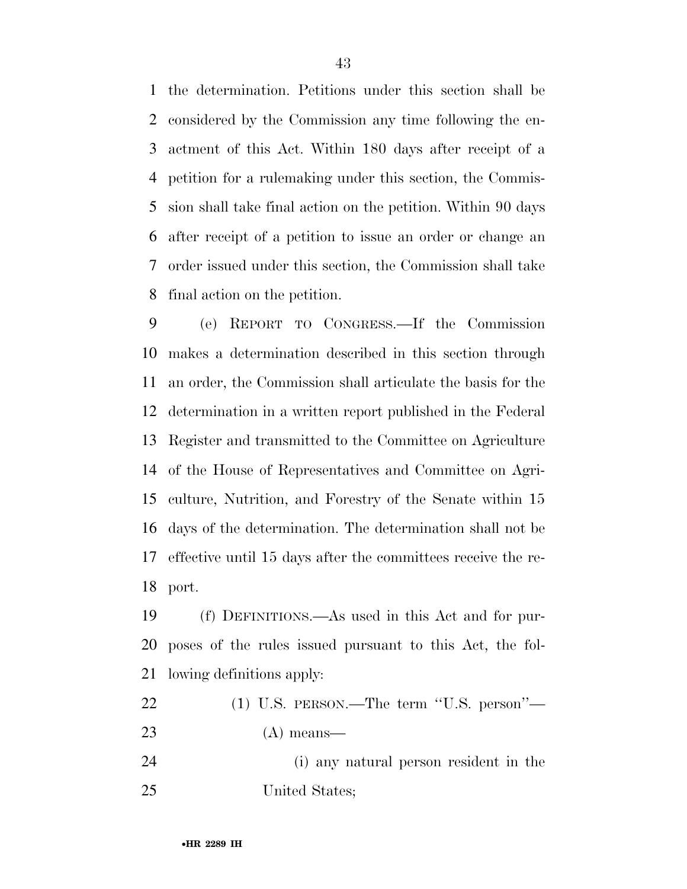the determination. Petitions under this section shall be considered by the Commission any time following the en- actment of this Act. Within 180 days after receipt of a petition for a rulemaking under this section, the Commis- sion shall take final action on the petition. Within 90 days after receipt of a petition to issue an order or change an order issued under this section, the Commission shall take final action on the petition.

 (e) REPORT TO CONGRESS.—If the Commission makes a determination described in this section through an order, the Commission shall articulate the basis for the determination in a written report published in the Federal Register and transmitted to the Committee on Agriculture of the House of Representatives and Committee on Agri- culture, Nutrition, and Forestry of the Senate within 15 days of the determination. The determination shall not be effective until 15 days after the committees receive the re-port.

 (f) DEFINITIONS.—As used in this Act and for pur- poses of the rules issued pursuant to this Act, the fol-lowing definitions apply:

| 22 |  |  |  | $(1)$ U.S. PERSON.—The term "U.S. person"— |
|----|--|--|--|--------------------------------------------|
|----|--|--|--|--------------------------------------------|

(A) means—

 (i) any natural person resident in the United States;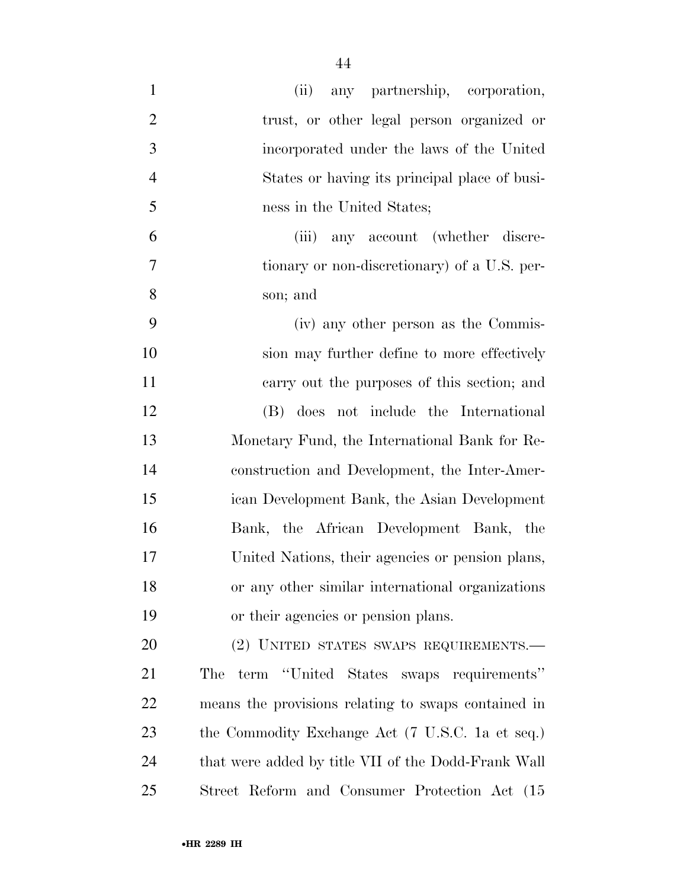| $\mathbf{1}$   | (ii)<br>any partnership, corporation,               |
|----------------|-----------------------------------------------------|
| $\overline{2}$ | trust, or other legal person organized or           |
| 3              | incorporated under the laws of the United           |
| $\overline{4}$ | States or having its principal place of busi-       |
| 5              | ness in the United States;                          |
| 6              | any account (whether discre-<br>(iii)               |
| 7              | tionary or non-discretionary) of a U.S. per-        |
| 8              | son; and                                            |
| 9              | (iv) any other person as the Commis-                |
| 10             | sion may further define to more effectively         |
| 11             | carry out the purposes of this section; and         |
| 12             | (B) does not include the International              |
| 13             | Monetary Fund, the International Bank for Re-       |
| 14             | construction and Development, the Inter-Amer-       |
| 15             | ican Development Bank, the Asian Development        |
| 16             | Bank, the African Development Bank, the             |
| 17             | United Nations, their agencies or pension plans,    |
| 18             | or any other similar international organizations    |
| 19             | or their agencies or pension plans.                 |
| 20             | (2) UNITED STATES SWAPS REQUIREMENTS.-              |
| 21             | term "United States swaps requirements"<br>The      |
| 22             | means the provisions relating to swaps contained in |
| 23             | the Commodity Exchange Act (7 U.S.C. 1a et seq.)    |
| 24             | that were added by title VII of the Dodd-Frank Wall |
| 25             | Street Reform and Consumer Protection Act (15)      |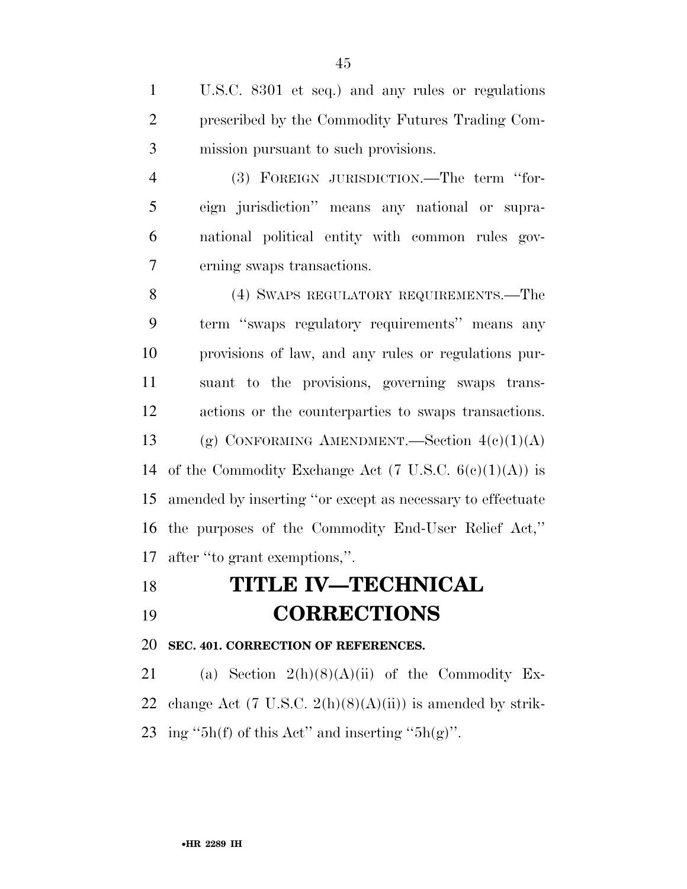U.S.C. 8301 et seq.) and any rules or regulations prescribed by the Commodity Futures Trading Com-mission pursuant to such provisions.

 (3) FOREIGN JURISDICTION.—The term ''for- eign jurisdiction'' means any national or supra- national political entity with common rules gov-erning swaps transactions.

 (4) SWAPS REGULATORY REQUIREMENTS.—The term ''swaps regulatory requirements'' means any provisions of law, and any rules or regulations pur- suant to the provisions, governing swaps trans- actions or the counterparties to swaps transactions. 13 (g) CONFORMING AMENDMENT.—Section  $4(c)(1)(A)$ 14 of the Commodity Exchange Act  $(7 \text{ U.S.C. } 6(c)(1)(A))$  is amended by inserting ''or except as necessary to effectuate the purposes of the Commodity End-User Relief Act,'' after ''to grant exemptions,''.

## **TITLE IV—TECHNICAL**

# **CORRECTIONS**

**SEC. 401. CORRECTION OF REFERENCES.** 

21 (a) Section  $2(h)(8)(A)(ii)$  of the Commodity Ex-22 change Act (7 U.S.C.  $2(h)(8)(A)(ii)$ ) is amended by strik-23 ing "5h(f) of this Act" and inserting "5h(g)".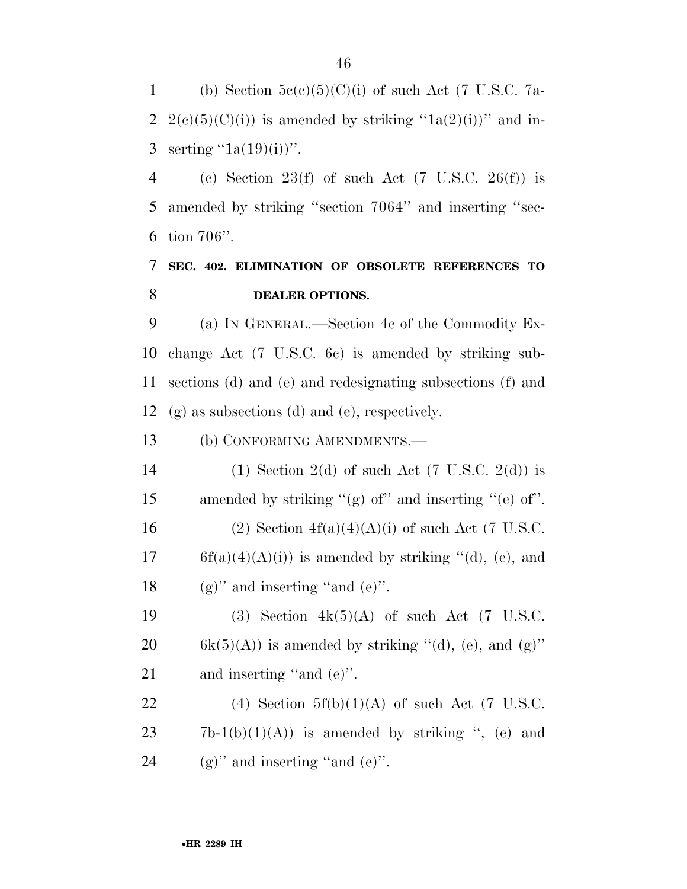1 (b) Section  $5c(c)(5)(C)(i)$  of such Act (7 U.S.C. 7a-2 2(c)(5)(C)(i)) is amended by striking " $1a(2)(i)$ " and in-3 serting  $(1a(19)(i))$ ".

4 (c) Section 23(f) of such Act  $(7 \text{ U.S.C. } 26(f))$  is 5 amended by striking ''section 7064'' and inserting ''sec-6 tion 706''.

## 7 **SEC. 402. ELIMINATION OF OBSOLETE REFERENCES TO**  8 **DEALER OPTIONS.**

 (a) IN GENERAL.—Section 4c of the Commodity Ex- change Act (7 U.S.C. 6c) is amended by striking sub- sections (d) and (e) and redesignating subsections (f) and (g) as subsections (d) and (e), respectively.

13 (b) CONFORMING AMENDMENTS.—

14 (1) Section 2(d) of such Act  $(7 \text{ U.S.C. } 2(d))$  is 15 amended by striking ''(g) of'' and inserting ''(e) of''. 16 (2) Section  $4f(a)(4)(A)(i)$  of such Act (7 U.S.C. 17 6f(a)(4)(A)(i)) is amended by striking "(d), (e), and 18 (g)" and inserting "and  $(e)$ ".

19 (3) Section  $4k(5)(A)$  of such Act (7 U.S.C. 20 6k(5)(A)) is amended by striking "(d), (e), and  $(g)$ " 21 and inserting "and (e)".

22 (4) Section  $5f(b)(1)(A)$  of such Act (7 U.S.C.  $23 \t\t 7b-1(b)(1)(A)$  is amended by striking ", (e) and 24 (g)" and inserting "and  $(e)$ ".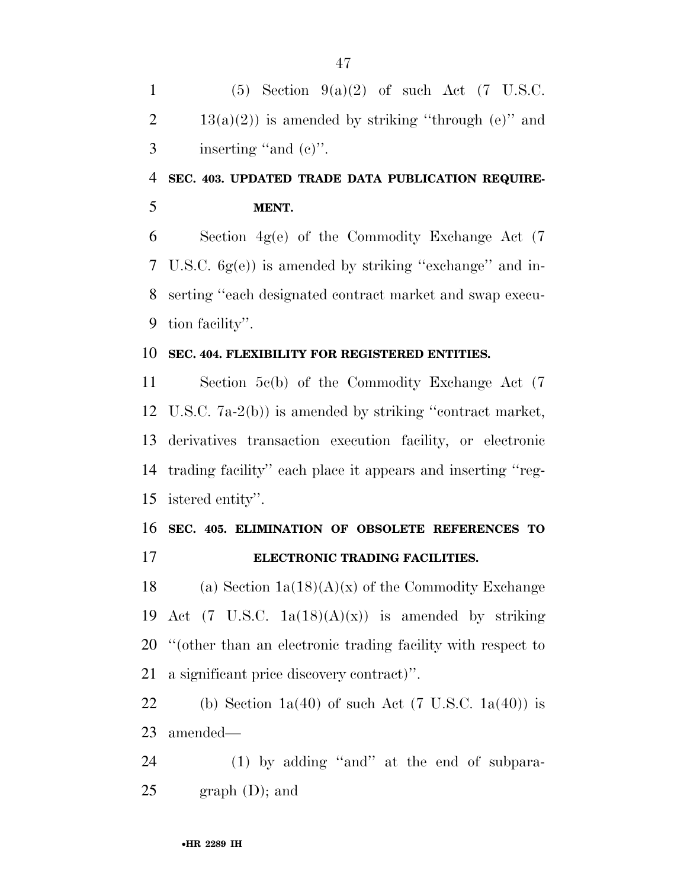1 (5) Section  $9(a)(2)$  of such Act (7 U.S.C. 2 13(a)(2)) is amended by striking "through (e)" and inserting ''and (c)''.

## **SEC. 403. UPDATED TRADE DATA PUBLICATION REQUIRE-MENT.**

 Section 4g(e) of the Commodity Exchange Act (7 U.S.C. 6g(e)) is amended by striking ''exchange'' and in- serting ''each designated contract market and swap execu-tion facility''.

#### **SEC. 404. FLEXIBILITY FOR REGISTERED ENTITIES.**

 Section 5c(b) of the Commodity Exchange Act (7 U.S.C. 7a-2(b)) is amended by striking ''contract market, derivatives transaction execution facility, or electronic trading facility'' each place it appears and inserting ''reg-istered entity''.

### **SEC. 405. ELIMINATION OF OBSOLETE REFERENCES TO ELECTRONIC TRADING FACILITIES.**

18 (a) Section  $1a(18)(A)(x)$  of the Commodity Exchange 19 Act (7 U.S.C.  $1a(18)(A)(x)$ ) is amended by striking ''(other than an electronic trading facility with respect to a significant price discovery contract)''.

22 (b) Section  $1a(40)$  of such Act (7 U.S.C.  $1a(40)$ ) is amended—

 (1) by adding ''and'' at the end of subpara- $25 \qquad \text{graph } (D)$ ; and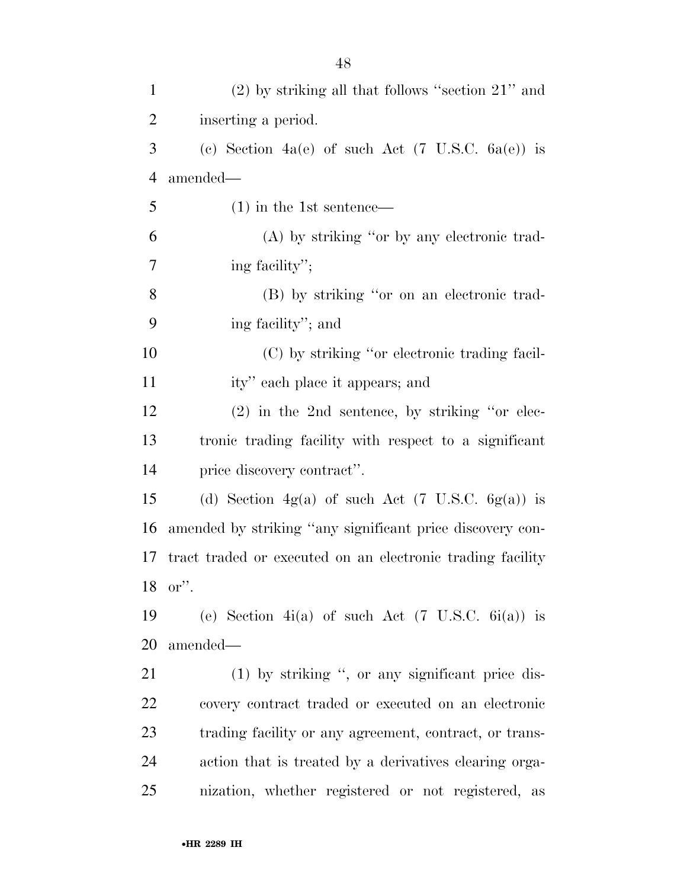| $\mathbf{1}$   | $(2)$ by striking all that follows "section $21$ " and       |
|----------------|--------------------------------------------------------------|
| $\overline{2}$ | inserting a period.                                          |
| 3              | (c) Section 4a(e) of such Act $(7 \text{ U.S.C. } 6a(e))$ is |
| $\overline{4}$ | amended—                                                     |
| 5              | $(1)$ in the 1st sentence—                                   |
| 6              | (A) by striking "or by any electronic trad-                  |
| 7              | ing facility";                                               |
| 8              | (B) by striking "or on an electronic trad-                   |
| 9              | ing facility"; and                                           |
| 10             | (C) by striking "or electronic trading facil-                |
| 11             | ity" each place it appears; and                              |
| 12             | $(2)$ in the 2nd sentence, by striking "or elec-             |
| 13             | tronic trading facility with respect to a significant        |
| 14             | price discovery contract".                                   |
| 15             | (d) Section $4g(a)$ of such Act (7 U.S.C. $6g(a)$ ) is       |
| 16             | amended by striking "any significant price discovery con-    |
| 17             | tract traded or executed on an electronic trading facility   |
|                | 18 or".                                                      |
| 19             | (e) Section 4i(a) of such Act $(7 \text{ U.S.C. } 6i(a))$ is |
| 20             | amended—                                                     |
| 21             | (1) by striking ", or any significant price dis-             |
| 22             | covery contract traded or executed on an electronic          |
| 23             | trading facility or any agreement, contract, or trans-       |
| 24             | action that is treated by a derivatives clearing orga-       |
| 25             | nization, whether registered or not registered, as           |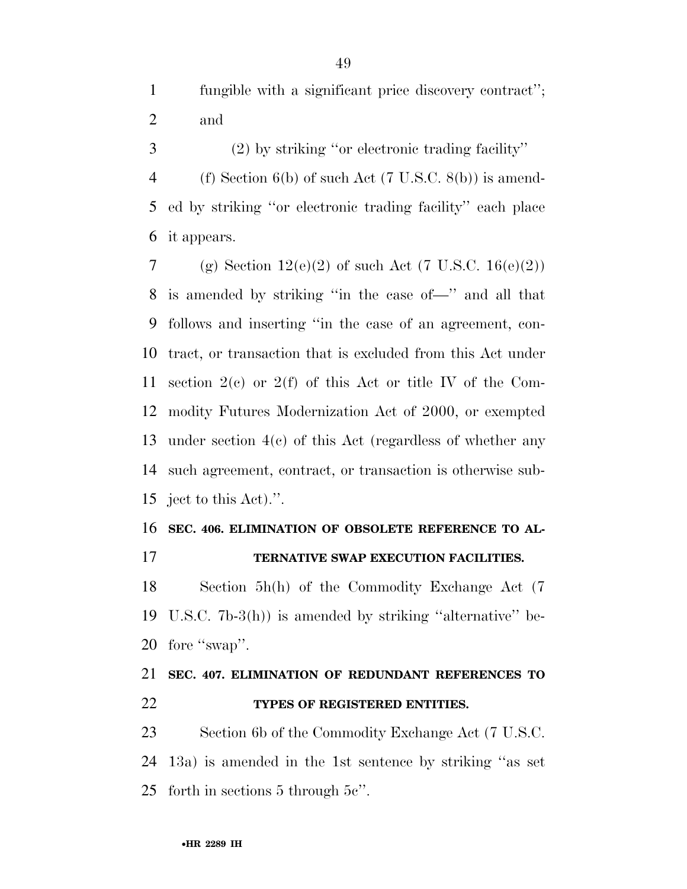fungible with a significant price discovery contract''; and

 (2) by striking ''or electronic trading facility'' (f) Section 6(b) of such Act (7 U.S.C. 8(b)) is amend- ed by striking ''or electronic trading facility'' each place it appears.

7 (g) Section  $12(e)(2)$  of such Act (7 U.S.C.  $16(e)(2)$ ) is amended by striking ''in the case of—'' and all that follows and inserting ''in the case of an agreement, con- tract, or transaction that is excluded from this Act under section 2(c) or 2(f) of this Act or title IV of the Com- modity Futures Modernization Act of 2000, or exempted under section 4(c) of this Act (regardless of whether any such agreement, contract, or transaction is otherwise sub-ject to this Act).''.

## **SEC. 406. ELIMINATION OF OBSOLETE REFERENCE TO AL-TERNATIVE SWAP EXECUTION FACILITIES.**

 Section 5h(h) of the Commodity Exchange Act (7 U.S.C. 7b-3(h)) is amended by striking ''alternative'' be-20 fore "swap".

## **SEC. 407. ELIMINATION OF REDUNDANT REFERENCES TO TYPES OF REGISTERED ENTITIES.**

 Section 6b of the Commodity Exchange Act (7 U.S.C. 13a) is amended in the 1st sentence by striking ''as set forth in sections 5 through 5c''.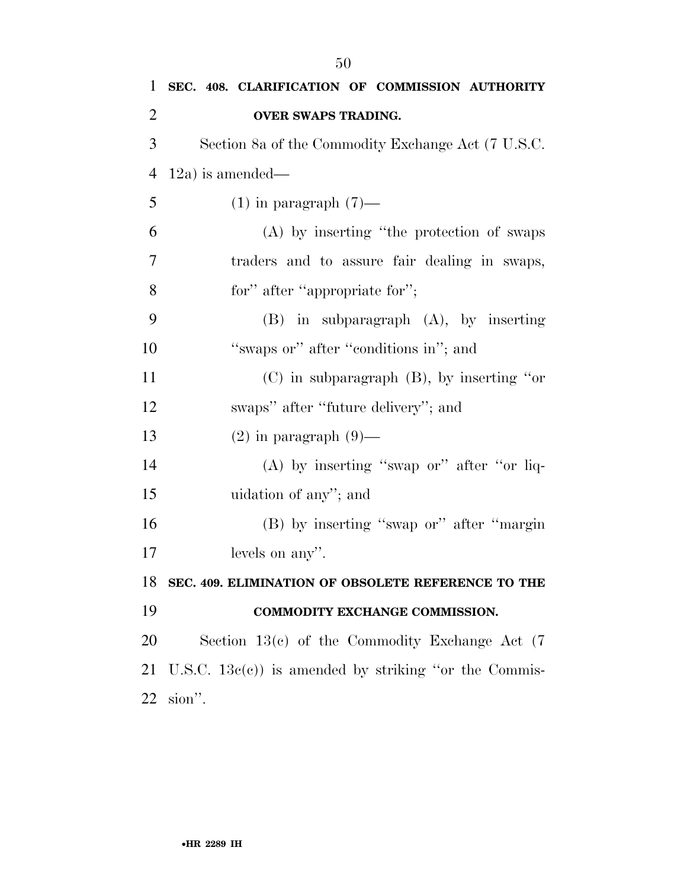| $\mathbf 1$ | SEC. 408. CLARIFICATION OF COMMISSION AUTHORITY        |
|-------------|--------------------------------------------------------|
| 2           | OVER SWAPS TRADING.                                    |
| 3           | Section 8a of the Commodity Exchange Act (7 U.S.C.     |
| 4           | $12a)$ is amended—                                     |
| 5           | $(1)$ in paragraph $(7)$ —                             |
| 6           | (A) by inserting "the protection of swaps              |
| 7           | traders and to assure fair dealing in swaps,           |
| 8           | for" after "appropriate for";                          |
| 9           | $(B)$ in subparagraph $(A)$ , by inserting             |
| 10          | "swaps or" after "conditions in"; and                  |
| 11          | $(C)$ in subparagraph $(B)$ , by inserting "or         |
| 12          | swaps" after "future delivery"; and                    |
| 13          | $(2)$ in paragraph $(9)$ —                             |
| 14          | $(A)$ by inserting "swap or" after "or liq-            |
| 15          | uidation of any"; and                                  |
| 16          | (B) by inserting "swap or" after "margin               |
| 17          | levels on any".                                        |
| 18          | SEC. 409. ELIMINATION OF OBSOLETE REFERENCE TO THE     |
| 19          | COMMODITY EXCHANGE COMMISSION.                         |
| 20          | Section $13(c)$ of the Commodity Exchange Act $(7)$    |
| 21          | U.S.C. $13e(e)$ is amended by striking "or the Commis- |
| 22          | sion".                                                 |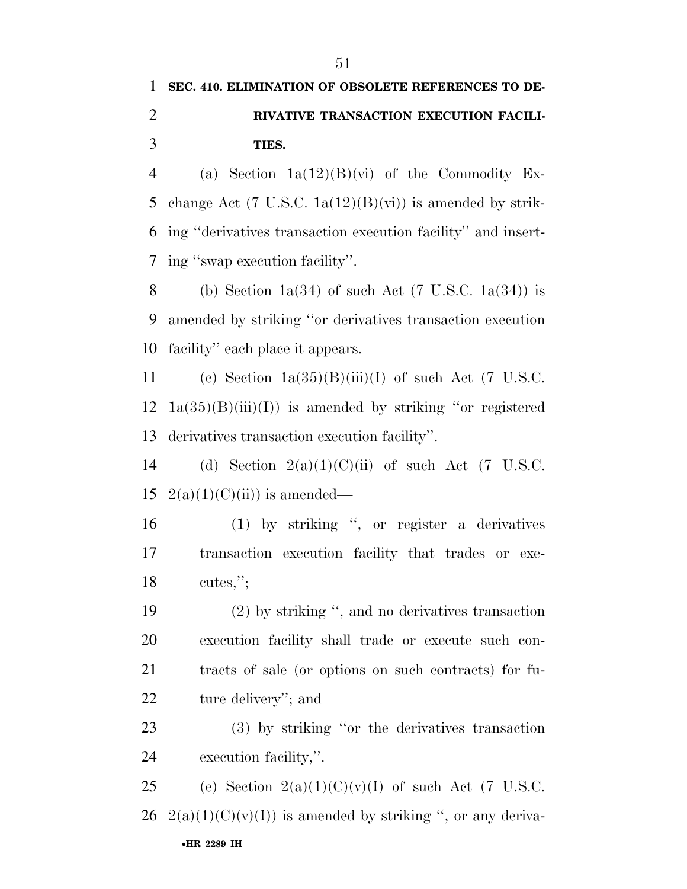4 (a) Section  $1a(12)(B)(vi)$  of the Commodity Ex-5 change Act (7 U.S.C.  $1a(12)(B)(vi)$ ) is amended by strik- ing ''derivatives transaction execution facility'' and insert-ing ''swap execution facility''.

8 (b) Section 1a(34) of such Act (7 U.S.C. 1a(34)) is amended by striking ''or derivatives transaction execution facility'' each place it appears.

11 (c) Section  $1a(35)(B)(iii)(I)$  of such Act (7 U.S.C.  $12 \text{ } 1a(35)(B)(iii)(I))$  is amended by striking "or registered derivatives transaction execution facility''.

14 (d) Section  $2(a)(1)(C)(ii)$  of such Act (7 U.S.C. 15  $2(a)(1)(C)(ii)$  is amended—

 (1) by striking '', or register a derivatives transaction execution facility that trades or exe-cutes,'';

 (2) by striking '', and no derivatives transaction execution facility shall trade or execute such con- tracts of sale (or options on such contracts) for fu-ture delivery''; and

 (3) by striking ''or the derivatives transaction execution facility,''.

•**HR 2289 IH** 25 (e) Section  $2(a)(1)(C)(v)(I)$  of such Act (7 U.S.C. 26 2(a)(1)(C)(v)(I)) is amended by striking ", or any deriva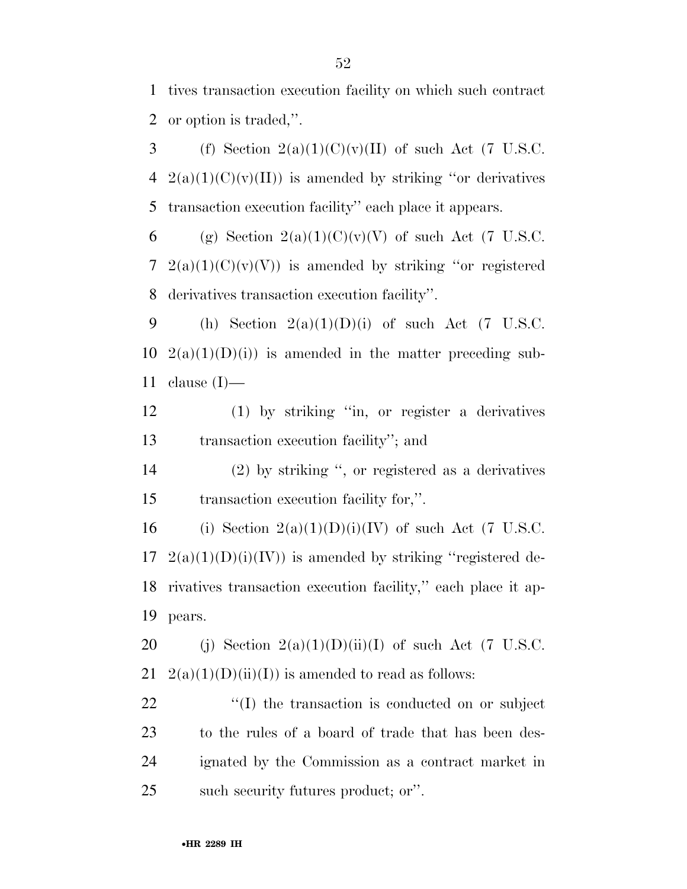1 tives transaction execution facility on which such contract 2 or option is traded,''.

3 (f) Section  $2(a)(1)(C)(v)(II)$  of such Act (7 U.S.C.  $4 \quad 2(a)(1)(C)(v)(II))$  is amended by striking "or derivatives" 5 transaction execution facility'' each place it appears.

6 (g) Section  $2(a)(1)(C)(v)(V)$  of such Act (7 U.S.C. 7 2(a)(1)(C)(v)(V)) is amended by striking "or registered 8 derivatives transaction execution facility''.

9 (h) Section  $2(a)(1)(D)(i)$  of such Act (7 U.S.C. 10  $2(a)(1)(D)(i)$  is amended in the matter preceding sub-11 clause  $(I)$ —

12 (1) by striking ''in, or register a derivatives 13 transaction execution facility''; and

14 (2) by striking '', or registered as a derivatives 15 transaction execution facility for,''.

16 (i) Section  $2(a)(1)(D)(i)(IV)$  of such Act (7 U.S.C.  $17 \quad 2(a)(1)(D)(i)(IV)$  is amended by striking "registered de-18 rivatives transaction execution facility,'' each place it ap-19 pears.

20 (j) Section  $2(a)(1)(D)(ii)(I)$  of such Act (7 U.S.C. 21  $2(a)(1)(D)(ii)(I)$  is amended to read as follows:

 $\langle (I) \rangle$  the transaction is conducted on or subject to the rules of a board of trade that has been des- ignated by the Commission as a contract market in such security futures product; or''.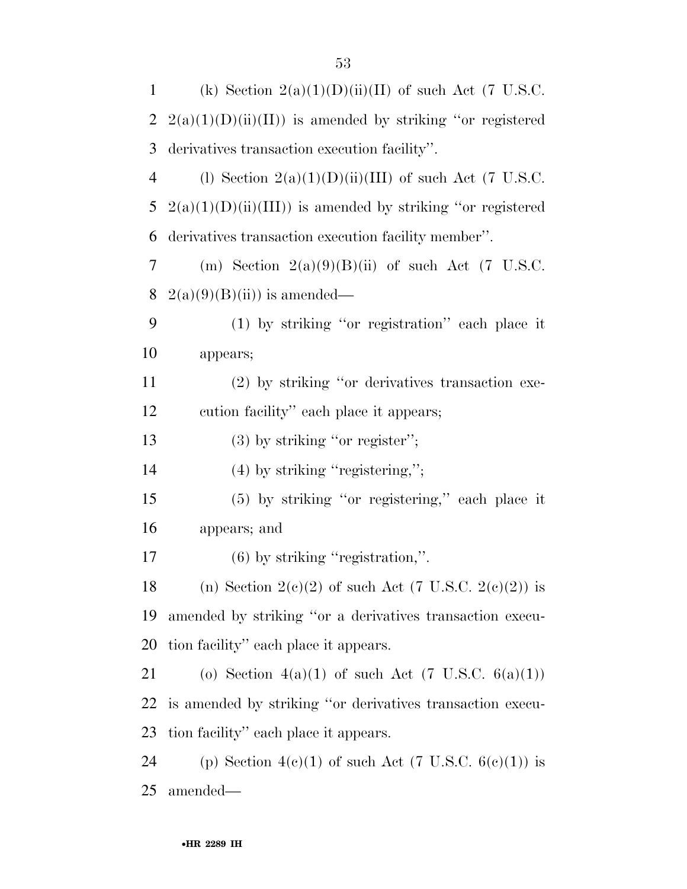| 1              | (k) Section $2(a)(1)(D)(ii)(II)$ of such Act (7 U.S.C.        |
|----------------|---------------------------------------------------------------|
| $\overline{2}$ | $2(a)(1)(D)(ii)(II)$ is amended by striking "or registered    |
| 3              | derivatives transaction execution facility".                  |
| $\overline{4}$ | (1) Section $2(a)(1)(D)(ii)(III)$ of such Act (7 U.S.C.       |
| 5              | $2(a)(1)(D)(ii)(III)$ is amended by striking "or registered   |
| 6              | derivatives transaction execution facility member".           |
| 7              | (m) Section $2(a)(9)(B)(ii)$ of such Act (7 U.S.C.            |
| 8              | $2(a)(9)(B)(ii)$ is amended—                                  |
| 9              | $(1)$ by striking "or registration" each place it             |
| 10             | appears;                                                      |
| 11             | (2) by striking "or derivatives transaction exe-              |
| 12             | cution facility" each place it appears;                       |
| 13             | $(3)$ by striking "or register";                              |
| 14             | $(4)$ by striking "registering,";                             |
| 15             | (5) by striking "or registering," each place it               |
| 16             | appears; and                                                  |
| 17             | $(6)$ by striking "registration,".                            |
| 18             | (n) Section 2(c)(2) of such Act (7 U.S.C. 2(c)(2)) is         |
| 19             | amended by striking "or a derivatives transaction execu-      |
| 20             | tion facility" each place it appears.                         |
| 21             | (o) Section 4(a)(1) of such Act $(7 \text{ U.S.C. } 6(a)(1))$ |
| 22             | is amended by striking "or derivatives transaction execu-     |
| 23             | tion facility" each place it appears.                         |
| 24             | (p) Section $4(c)(1)$ of such Act (7 U.S.C. $6(c)(1)$ ) is    |
| 25             | amended—                                                      |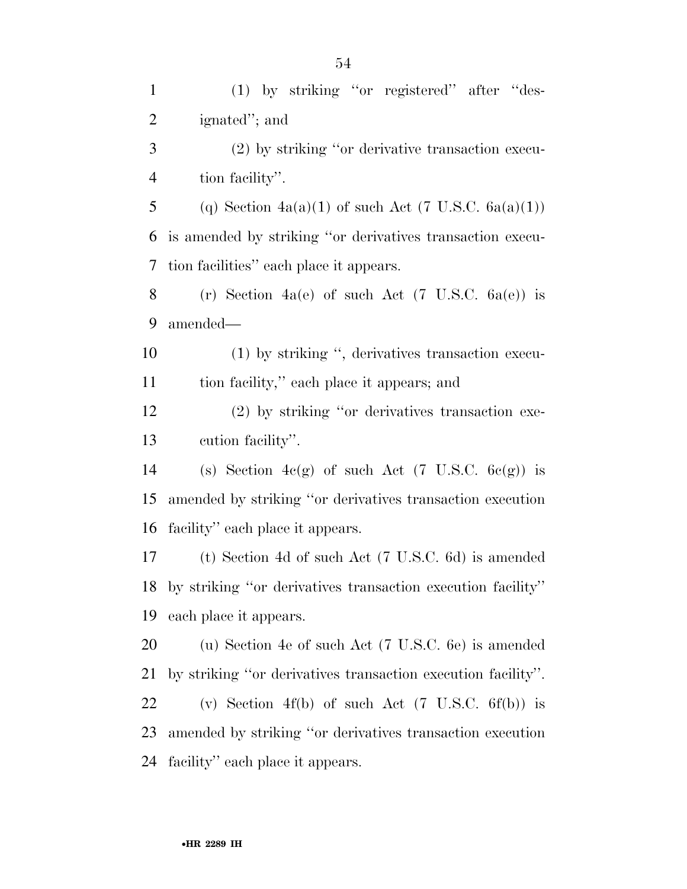(1) by striking ''or registered'' after ''des- ignated''; and (2) by striking ''or derivative transaction execu- tion facility''. 5 (q) Section  $4a(a)(1)$  of such Act (7 U.S.C.  $6a(a)(1)$ ) is amended by striking ''or derivatives transaction execu- tion facilities'' each place it appears. 8 (r) Section 4a(e) of such Act  $(7 \text{ U.S.C. } 6a(e))$  is amended— (1) by striking '', derivatives transaction execu- tion facility,'' each place it appears; and (2) by striking ''or derivatives transaction exe- cution facility''. 14 (s) Section  $4c(g)$  of such Act (7 U.S.C.  $6c(g)$ ) is amended by striking ''or derivatives transaction execution facility'' each place it appears. (t) Section 4d of such Act (7 U.S.C. 6d) is amended by striking ''or derivatives transaction execution facility'' each place it appears. (u) Section 4e of such Act (7 U.S.C. 6e) is amended by striking ''or derivatives transaction execution facility''. (v) Section 4f(b) of such Act (7 U.S.C. 6f(b)) is amended by striking ''or derivatives transaction execution facility'' each place it appears.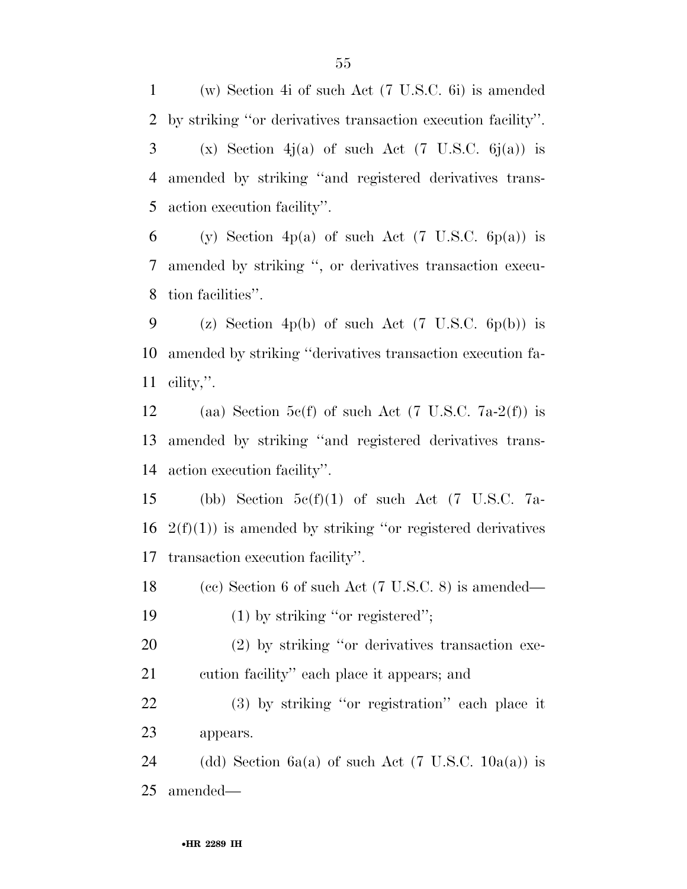(w) Section 4i of such Act (7 U.S.C. 6i) is amended by striking ''or derivatives transaction execution facility''. 3 (x) Section 4j(a) of such Act (7 U.S.C.  $6j(a)$ ) is amended by striking ''and registered derivatives trans-action execution facility''.

6 (y) Section 4p(a) of such Act (7 U.S.C.  $6p(a)$ ) is amended by striking '', or derivatives transaction execu-tion facilities''.

9 (z) Section 4p(b) of such Act  $(7 \text{ U.S.C. } 6p(b))$  is amended by striking ''derivatives transaction execution fa-cility,''.

12 (aa) Section 5c(f) of such Act (7 U.S.C. 7a-2(f)) is amended by striking ''and registered derivatives trans-action execution facility''.

15 (bb) Section  $5c(f)(1)$  of such Act (7 U.S.C. 7a-16  $2(f)(1)$  is amended by striking "or registered derivatives" transaction execution facility''.

 (cc) Section 6 of such Act (7 U.S.C. 8) is amended— 19 (1) by striking "or registered";

 (2) by striking ''or derivatives transaction exe-cution facility'' each place it appears; and

 (3) by striking ''or registration'' each place it appears.

24 (dd) Section 6a(a) of such Act (7 U.S.C.  $10a(a)$ ) is amended—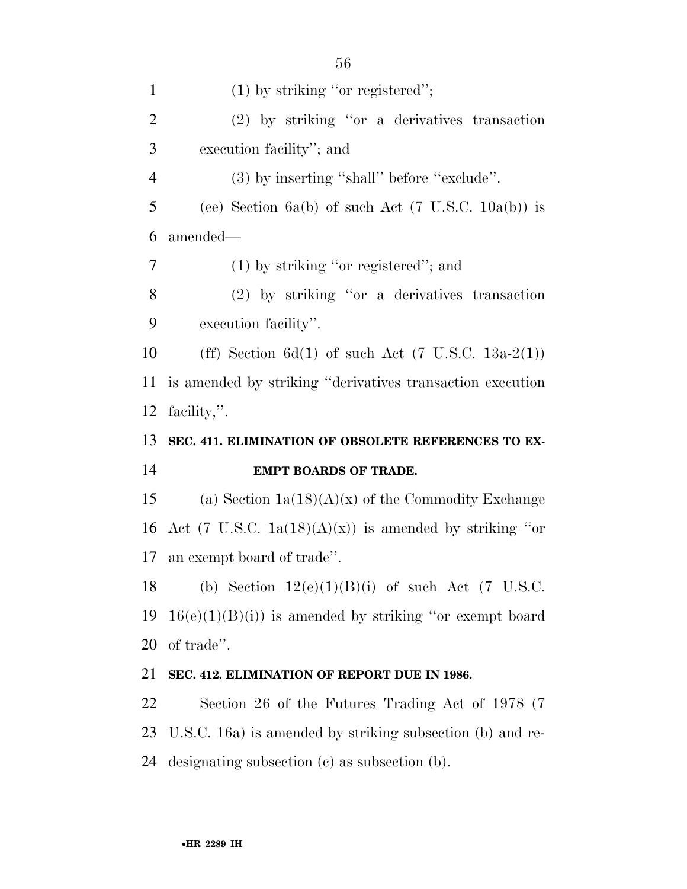| $\mathbf{1}$   | $(1)$ by striking "or registered";                             |
|----------------|----------------------------------------------------------------|
| $\overline{2}$ | $(2)$ by striking "or a derivatives transaction                |
| 3              | execution facility"; and                                       |
| $\overline{4}$ | (3) by inserting "shall" before "exclude".                     |
| 5              | (ee) Section 6a(b) of such Act $(7 \text{ U.S.C. } 10a(b))$ is |
| 6              | amended—                                                       |
| 7              | $(1)$ by striking "or registered"; and                         |
| 8              | $(2)$ by striking "or a derivatives transaction                |
| 9              | execution facility".                                           |
| 10             | (ff) Section 6d(1) of such Act $(7 \text{ U.S.C. } 13a-2(1))$  |
| 11             | is amended by striking "derivatives transaction execution      |
| 12             | facility,".                                                    |
|                |                                                                |
| 13             | SEC. 411. ELIMINATION OF OBSOLETE REFERENCES TO EX-            |
| 14             | <b>EMPT BOARDS OF TRADE.</b>                                   |
| 15             | (a) Section $1a(18)(A)(x)$ of the Commodity Exchange           |
| 16             | Act (7 U.S.C. $1a(18)(A)(x)$ ) is amended by striking "or      |
| 17             | an exempt board of trade".                                     |
| 18             | (b) Section $12(e)(1)(B)(i)$ of such Act (7 U.S.C.             |
| 19             | $16(e)(1)(B)(i)$ is amended by striking "or exempt board"      |
| 20             | of trade".                                                     |
| 21             | SEC. 412. ELIMINATION OF REPORT DUE IN 1986.                   |
| 22             | Section 26 of the Futures Trading Act of 1978 (7)              |
| 23             | U.S.C. 16a) is amended by striking subsection (b) and re-      |

•**HR 2289 IH**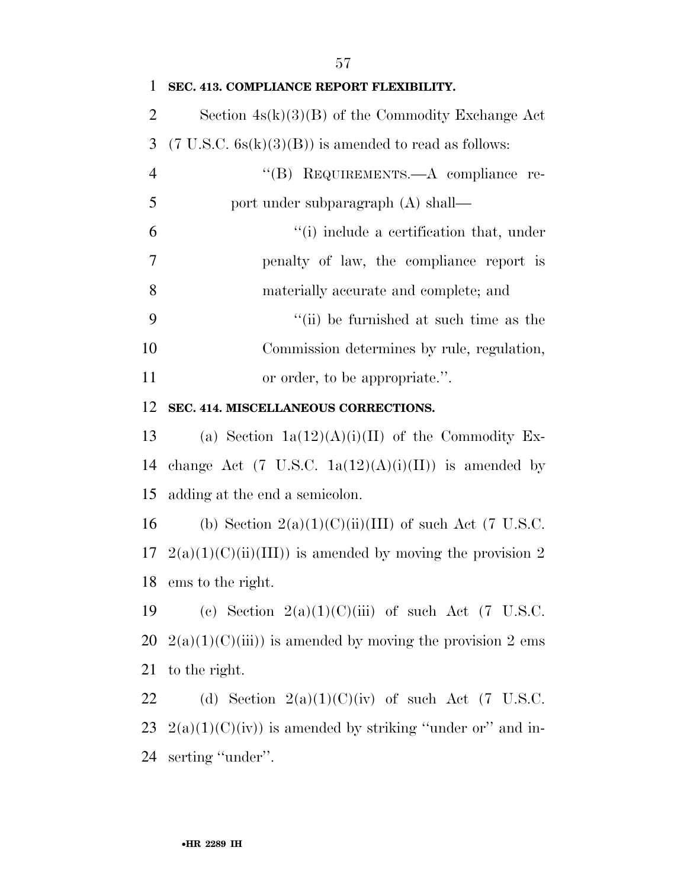| 1              | SEC. 413. COMPLIANCE REPORT FLEXIBILITY.                         |
|----------------|------------------------------------------------------------------|
| 2              | Section $4s(k)(3)(B)$ of the Commodity Exchange Act              |
| 3              | $(7 \text{ U.S.C. } 6s(k)(3)(B))$ is amended to read as follows: |
| $\overline{4}$ | "(B) REQUIREMENTS.—A compliance re-                              |
| 5              | port under subparagraph (A) shall—                               |
| 6              | "(i) include a certification that, under                         |
| $\tau$         | penalty of law, the compliance report is                         |
| 8              | materially accurate and complete; and                            |
| 9              | "(ii) be furnished at such time as the                           |
| 10             | Commission determines by rule, regulation,                       |
| 11             | or order, to be appropriate.".                                   |
| 12             | SEC. 414. MISCELLANEOUS CORRECTIONS.                             |
| 13             | (a) Section $1a(12)(A)(i)(II)$ of the Commodity Ex-              |
| 14             | change Act (7 U.S.C. $1a(12)(A)(i)(II)$ ) is amended by          |
| 15             | adding at the end a semicolon.                                   |
| 16             | (b) Section $2(a)(1)(C)(ii)(III)$ of such Act (7 U.S.C.          |
| 17             | $2(a)(1)(C)(ii)(III)$ is amended by moving the provision 2       |
|                | 18 ems to the right.                                             |
| 19             | (c) Section $2(a)(1)(C)(iii)$ of such Act (7 U.S.C.              |
| 20             | $2(a)(1)(C(iii))$ is amended by moving the provision 2 ems       |
| 21             | to the right.                                                    |
| 22             | (d) Section $2(a)(1)(C)(iv)$ of such Act (7 U.S.C.               |
| 23             | $2(a)(1)(C)(iv)$ is amended by striking "under or" and in-       |
| 24             | serting "under".                                                 |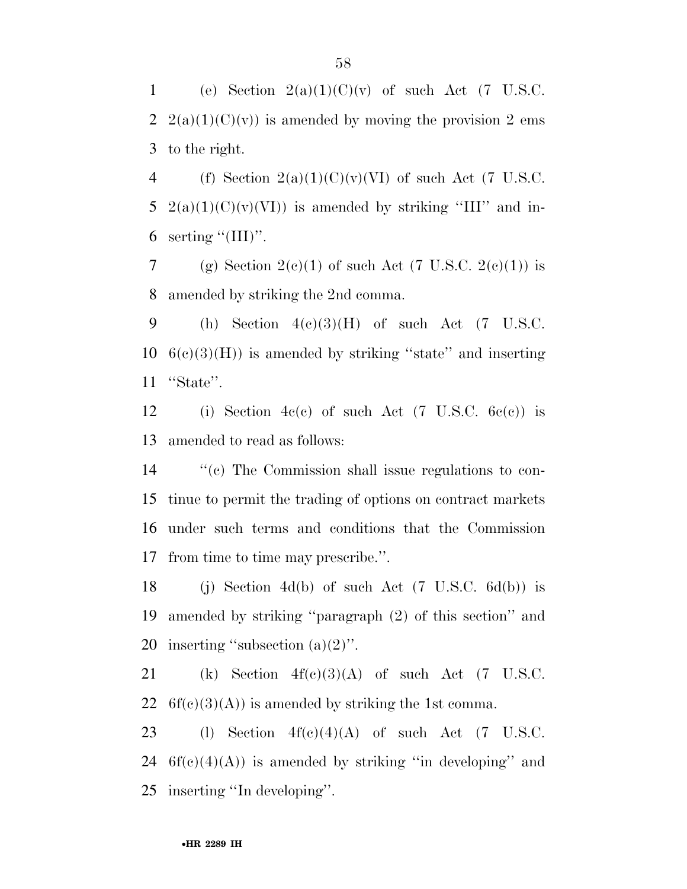1 (e) Section  $2(a)(1)(C)(v)$  of such Act (7 U.S.C. 2  $2(a)(1)(C)(v)$  is amended by moving the provision 2 ems 3 to the right.

4 (f) Section  $2(a)(1)(C)(v)(VI)$  of such Act (7 U.S.C. 5 2(a)(1)(C)(v)(VI)) is amended by striking "III" and in-6 serting  $\lq(\text{III})$ ".

7 (g) Section  $2(e)(1)$  of such Act (7 U.S.C.  $2(e)(1)$ ) is 8 amended by striking the 2nd comma.

9 (h) Section  $4(c)(3)(H)$  of such Act (7 U.S.C.  $10\quad6(e)(3)(H)$  is amended by striking "state" and inserting 11 ''State''.

12 (i) Section 4c(c) of such Act (7 U.S.C.  $6c(c)$ ) is 13 amended to read as follows:

 ''(c) The Commission shall issue regulations to con- tinue to permit the trading of options on contract markets under such terms and conditions that the Commission from time to time may prescribe.''.

18 (i) Section 4d(b) of such Act  $(7 \text{ U.S.C.} 6d(b))$  is 19 amended by striking ''paragraph (2) of this section'' and 20 inserting ''subsection (a)(2)''.

21 (k) Section  $4f(c)(3)(A)$  of such Act (7 U.S.C. 22  $6f(c)(3)(A)$  is amended by striking the 1st comma.

23 (l) Section  $4f(c)(4)(A)$  of such Act (7 U.S.C. 24  $6f(c)(4)(A)$  is amended by striking "in developing" and 25 inserting ''In developing''.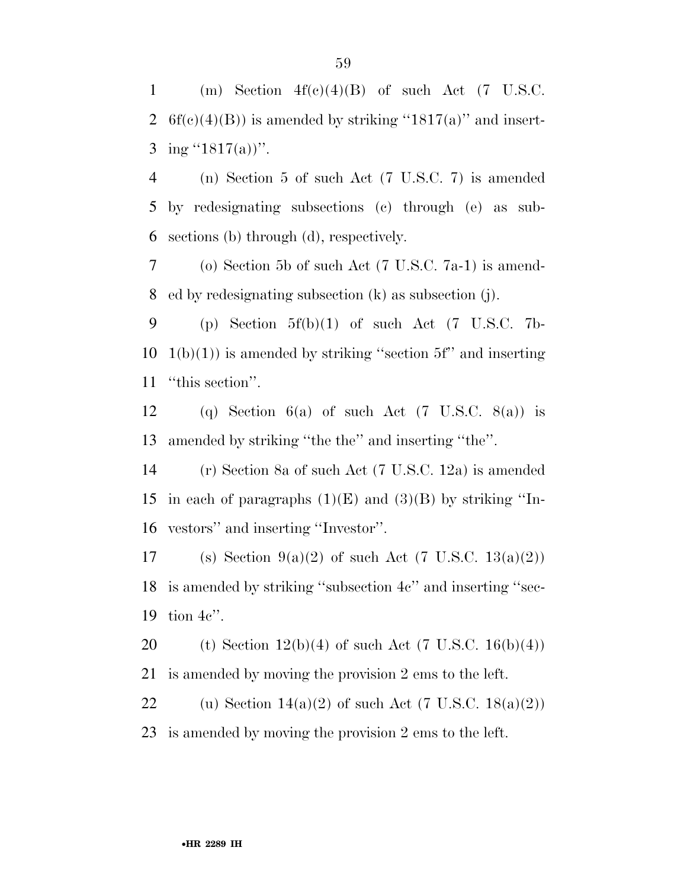1 (m) Section  $4f(c)(4)(B)$  of such Act (7 U.S.C. 2 6f(c)(4)(B)) is amended by striking "1817(a)" and insert-3 ing  $(1817(a))$ ".

4 (n) Section 5 of such Act (7 U.S.C. 7) is amended 5 by redesignating subsections (c) through (e) as sub-6 sections (b) through (d), respectively.

7 (o) Section 5b of such Act (7 U.S.C. 7a-1) is amend-8 ed by redesignating subsection (k) as subsection (j).

9 (p) Section  $5f(b)(1)$  of such Act (7 U.S.C. 7b- $10 \text{ } 1(b)(1)$  is amended by striking "section 5f" and inserting 11 ''this section''.

12 (q) Section 6(a) of such Act  $(7 \text{ U.S.C. } 8(a))$  is 13 amended by striking ''the the'' and inserting ''the''.

14 (r) Section 8a of such Act (7 U.S.C. 12a) is amended 15 in each of paragraphs  $(1)(E)$  and  $(3)(B)$  by striking "In-16 vestors'' and inserting ''Investor''.

17 (s) Section  $9(a)(2)$  of such Act (7 U.S.C.  $13(a)(2)$ ) 18 is amended by striking ''subsection 4c'' and inserting ''sec-19 tion 4c''.

20 (t) Section  $12(b)(4)$  of such Act (7 U.S.C. 16(b)(4)) 21 is amended by moving the provision 2 ems to the left.

22 (u) Section  $14(a)(2)$  of such Act (7 U.S.C.  $18(a)(2)$ ) 23 is amended by moving the provision 2 ems to the left.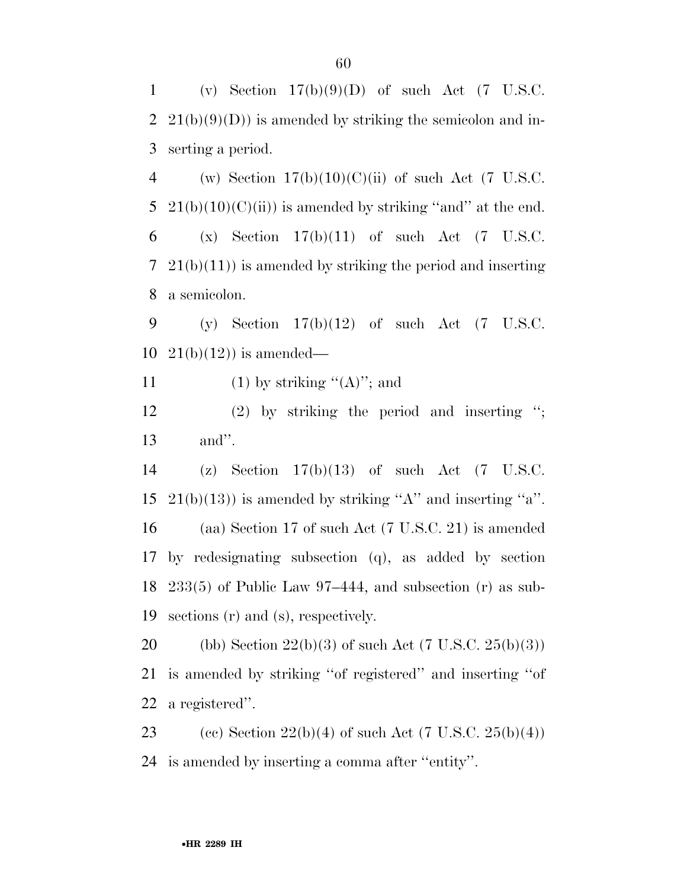1 (v) Section  $17(b)(9)(D)$  of such Act (7 U.S.C. 2  $21(b)(9)(D)$  is amended by striking the semicolon and in-3 serting a period.

4 (w) Section  $17(b)(10)(C)(ii)$  of such Act (7 U.S.C. 5 21(b)(10)(C)(ii)) is amended by striking "and" at the end. 6 (x) Section  $17(b)(11)$  of such Act (7 U.S.C.  $7\;21(b)(11)$  is amended by striking the period and inserting 8 a semicolon.

9 (y) Section  $17(b)(12)$  of such Act (7 U.S.C. 10  $21(b)(12)$  is amended—

11 (1) by striking  $((A))$ ; and

12 (2) by striking the period and inserting ''; 13 and''.

 (z) Section 17(b)(13) of such Act (7 U.S.C.  $21(b)(13)$  is amended by striking "A" and inserting "a". (aa) Section 17 of such Act (7 U.S.C. 21) is amended by redesignating subsection (q), as added by section 233(5) of Public Law 97–444, and subsection (r) as sub-sections (r) and (s), respectively.

20 (bb) Section  $22(b)(3)$  of such Act (7 U.S.C.  $25(b)(3)$ ) 21 is amended by striking ''of registered'' and inserting ''of 22 a registered''.

23 (cc) Section  $22(b)(4)$  of such Act (7 U.S.C.  $25(b)(4)$ ) 24 is amended by inserting a comma after ''entity''.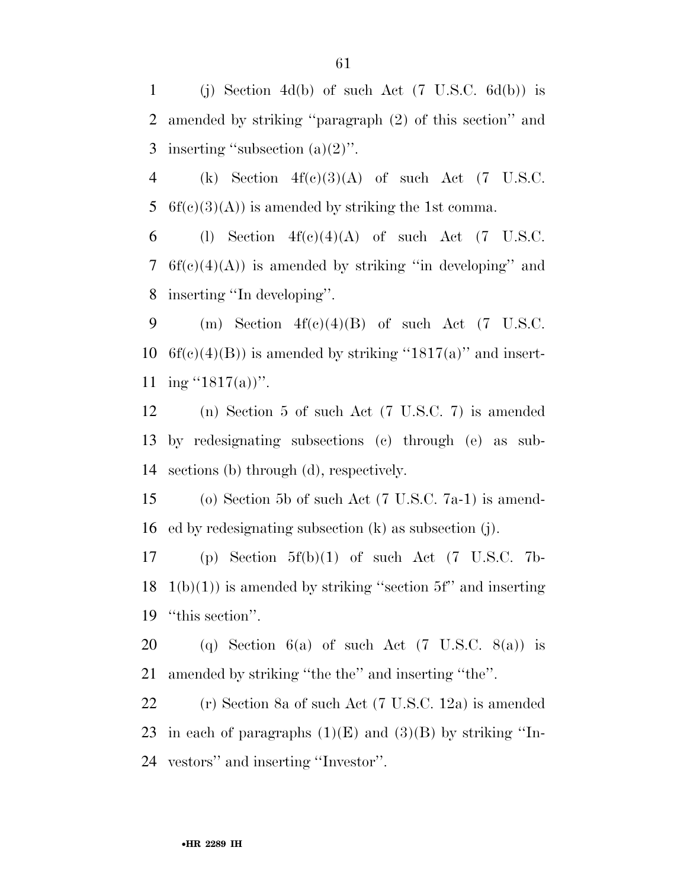1 (j) Section 4d(b) of such Act  $(7 \text{ U.S.C.} 6d(b))$  is 2 amended by striking ''paragraph (2) of this section'' and 3 inserting "subsection  $(a)(2)$ ".

4 (k) Section  $4f(c)(3)(A)$  of such Act (7 U.S.C. 5 6f(c)(3)(A)) is amended by striking the 1st comma.

6 (l) Section  $4f(c)(4)(A)$  of such Act (7 U.S.C. 7  $6f(c)(4)(A)$  is amended by striking "in developing" and 8 inserting ''In developing''.

9 (m) Section  $4f(c)(4)(B)$  of such Act (7 U.S.C. 10 6f(c)(4)(B)) is amended by striking "1817(a)" and insert-11 ing  $(1817(a))$ ".

12 (n) Section 5 of such Act (7 U.S.C. 7) is amended 13 by redesignating subsections (c) through (e) as sub-14 sections (b) through (d), respectively.

15 (o) Section 5b of such Act (7 U.S.C. 7a-1) is amend-16 ed by redesignating subsection (k) as subsection (j).

17 (p) Section 5f(b)(1) of such Act (7 U.S.C. 7b- $18 \text{ } 1(b)(1)$  is amended by striking "section 5f" and inserting 19 ''this section''.

20 (q) Section 6(a) of such Act  $(7 \text{ U.S.C. } 8(a))$  is 21 amended by striking ''the the'' and inserting ''the''.

22 (r) Section 8a of such Act (7 U.S.C. 12a) is amended 23 in each of paragraphs  $(1)(E)$  and  $(3)(B)$  by striking "In-24 vestors'' and inserting ''Investor''.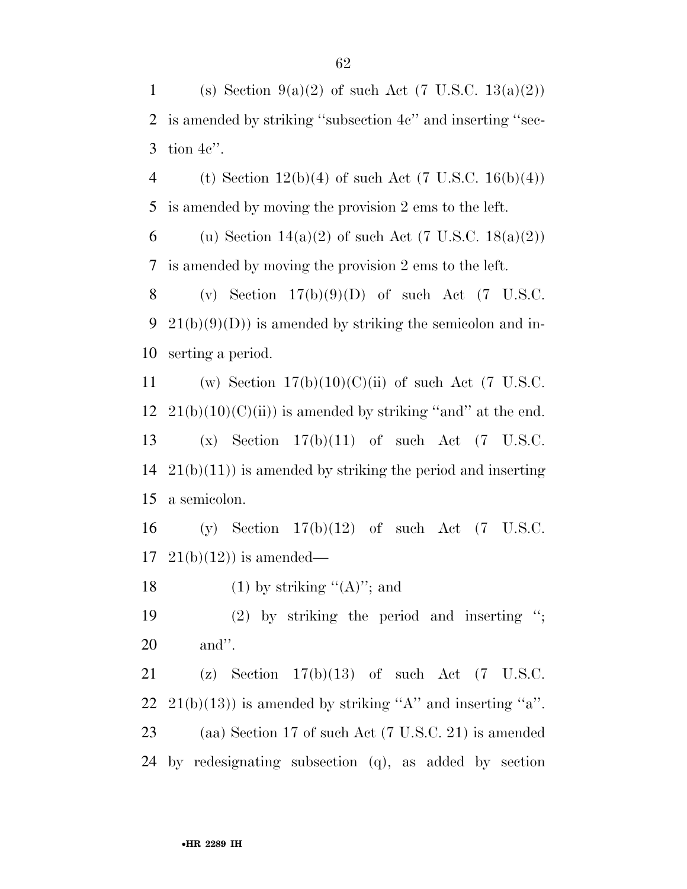1 (s) Section 9(a)(2) of such Act (7 U.S.C.  $13(a)(2)$ ) 2 is amended by striking ''subsection 4c'' and inserting ''sec-3 tion 4c''.

4 (t) Section  $12(b)(4)$  of such Act (7 U.S.C. 16(b)(4)) 5 is amended by moving the provision 2 ems to the left.

6 (u) Section  $14(a)(2)$  of such Act (7 U.S.C.  $18(a)(2)$ ) 7 is amended by moving the provision 2 ems to the left.

8 (v) Section  $17(b)(9)(D)$  of such Act (7 U.S.C. 9 21(b)(9)(D)) is amended by striking the semicolon and in-10 serting a period.

11 (w) Section  $17(b)(10)(C)(ii)$  of such Act (7 U.S.C.  $21(b)(10)(C(ii))$  is amended by striking "and" at the end. (x) Section 17(b)(11) of such Act (7 U.S.C.  $21(b)(11)$  is amended by striking the period and inserting a semicolon.

16 (y) Section 17(b)(12) of such Act (7 U.S.C.  $17 \quad 21(b)(12)$  is amended—

18 (1) by striking  $(4')$ ; and

19 (2) by striking the period and inserting ''; 20 and''.

 (z) Section 17(b)(13) of such Act (7 U.S.C.  $21(b)(13)$  is amended by striking "A" and inserting "a". (aa) Section 17 of such Act (7 U.S.C. 21) is amended by redesignating subsection (q), as added by section